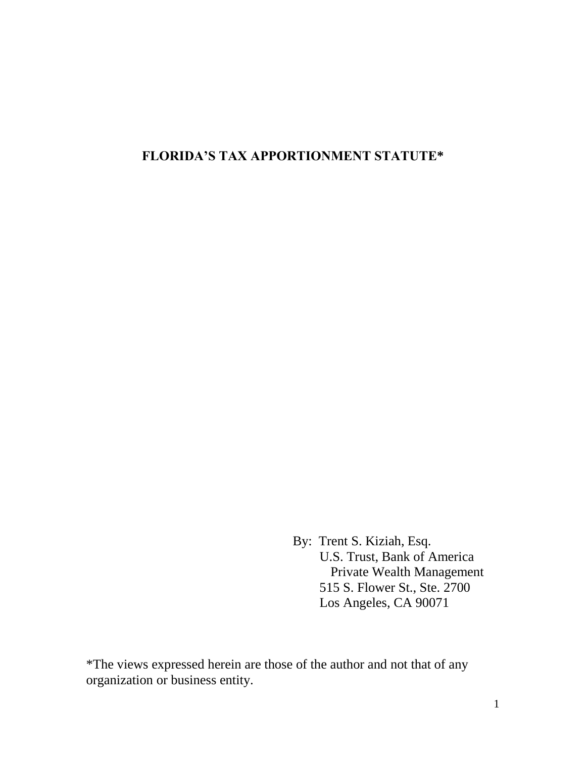# **FLORIDA'S TAX APPORTIONMENT STATUTE\***

By: Trent S. Kiziah, Esq. U.S. Trust, Bank of America Private Wealth Management 515 S. Flower St., Ste. 2700 Los Angeles, CA 90071

\*The views expressed herein are those of the author and not that of any organization or business entity.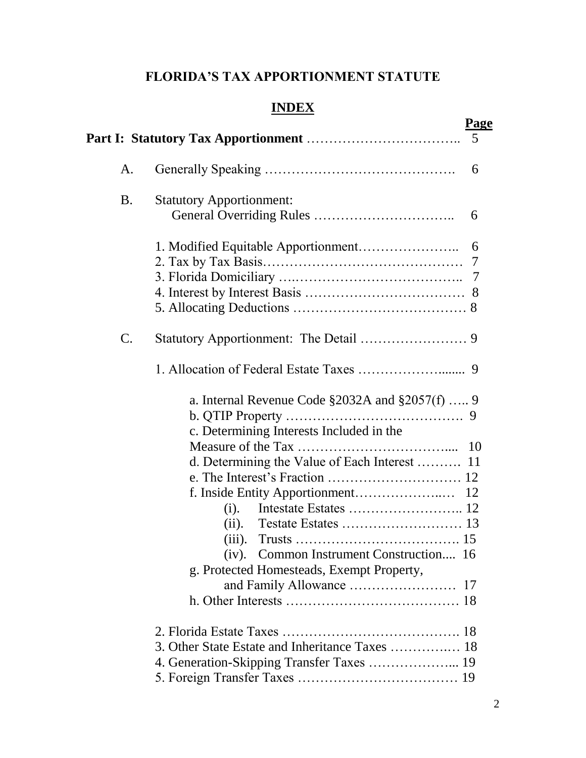# **FLORIDA'S TAX APPORTIONMENT STATUTE**

# **INDEX**

|           | <b>Page</b><br>5                                                                                                                                                                                                                                  |
|-----------|---------------------------------------------------------------------------------------------------------------------------------------------------------------------------------------------------------------------------------------------------|
| A.        | 6                                                                                                                                                                                                                                                 |
| <b>B.</b> | <b>Statutory Apportionment:</b><br>6                                                                                                                                                                                                              |
|           | 6<br>7                                                                                                                                                                                                                                            |
| C.        |                                                                                                                                                                                                                                                   |
|           |                                                                                                                                                                                                                                                   |
|           | a. Internal Revenue Code $\S 2032A$ and $\S 2057(f)$ 9<br>c. Determining Interests Included in the<br>d. Determining the Value of Each Interest  11<br>15<br>(iv). Common Instrument Construction 16<br>g. Protected Homesteads, Exempt Property, |
|           | 3. Other State Estate and Inheritance Taxes  18<br>4. Generation-Skipping Transfer Taxes  19                                                                                                                                                      |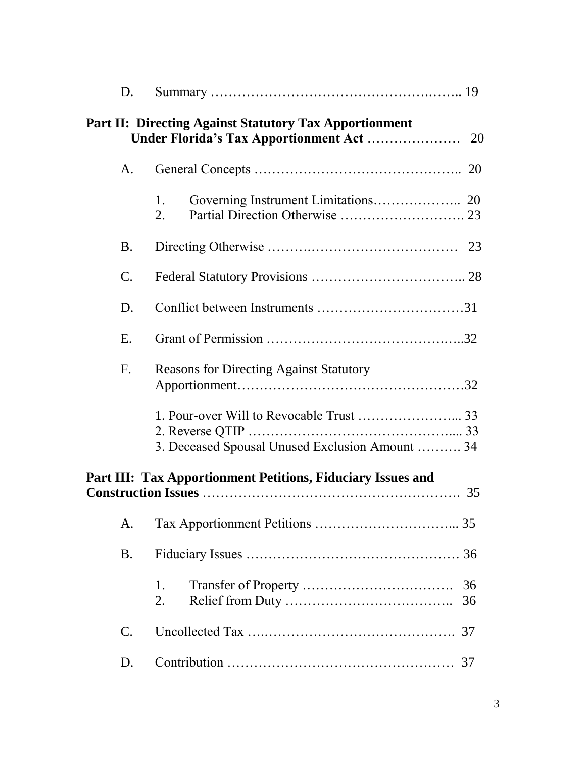| D.                                                                |                                                               |          |  |  |
|-------------------------------------------------------------------|---------------------------------------------------------------|----------|--|--|
|                                                                   | <b>Part II: Directing Against Statutory Tax Apportionment</b> |          |  |  |
| A.                                                                |                                                               |          |  |  |
|                                                                   | 1.<br>2.                                                      |          |  |  |
| <b>B.</b>                                                         |                                                               |          |  |  |
| $\mathcal{C}$ .                                                   |                                                               |          |  |  |
| D.                                                                |                                                               |          |  |  |
| E.                                                                |                                                               |          |  |  |
| F <sub>1</sub>                                                    | <b>Reasons for Directing Against Statutory</b>                |          |  |  |
|                                                                   | 3. Deceased Spousal Unused Exclusion Amount  34               |          |  |  |
| Part III: Tax Apportionment Petitions, Fiduciary Issues and<br>35 |                                                               |          |  |  |
| A.                                                                |                                                               |          |  |  |
| <b>B.</b>                                                         |                                                               |          |  |  |
|                                                                   | 1.<br>2.                                                      | 36<br>36 |  |  |
| $\mathsf{C}.$                                                     |                                                               | 37       |  |  |
| D.                                                                |                                                               | 37       |  |  |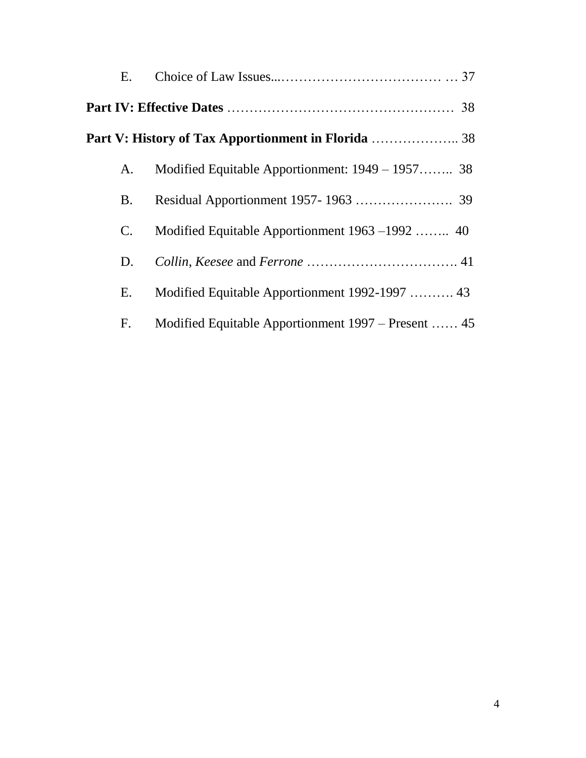| Ε. |                                                     |  |
|----|-----------------------------------------------------|--|
|    |                                                     |  |
|    |                                                     |  |
| A. | Modified Equitable Apportionment: 1949 – 1957 38    |  |
| B. |                                                     |  |
| C. | Modified Equitable Apportionment 1963 – 1992  40    |  |
| D. |                                                     |  |
| Ε. | Modified Equitable Apportionment 1992-1997  43      |  |
| F. | Modified Equitable Apportionment 1997 – Present  45 |  |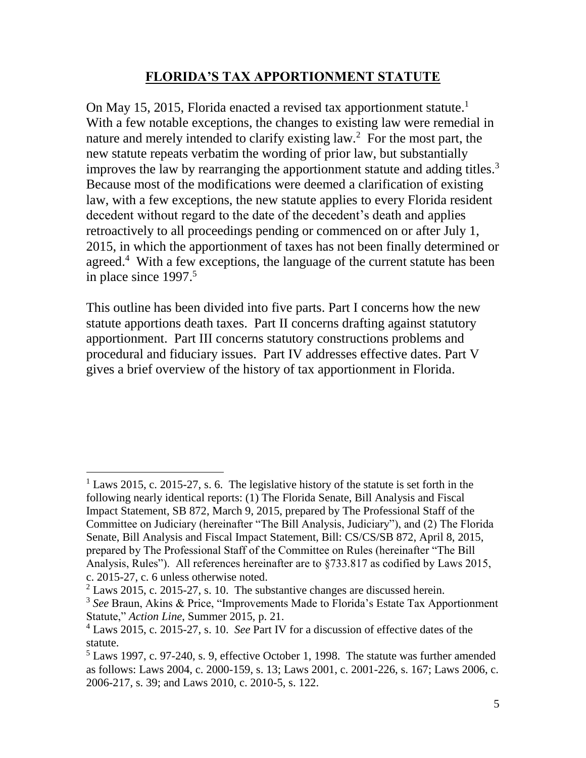### **FLORIDA'S TAX APPORTIONMENT STATUTE**

On May 15, 2015, Florida enacted a revised tax apportionment statute.<sup>1</sup> With a few notable exceptions, the changes to existing law were remedial in nature and merely intended to clarify existing law.<sup>2</sup> For the most part, the new statute repeats verbatim the wording of prior law, but substantially improves the law by rearranging the apportionment statute and adding titles.<sup>3</sup> Because most of the modifications were deemed a clarification of existing law, with a few exceptions, the new statute applies to every Florida resident decedent without regard to the date of the decedent's death and applies retroactively to all proceedings pending or commenced on or after July 1, 2015, in which the apportionment of taxes has not been finally determined or agreed.<sup>4</sup> With a few exceptions, the language of the current statute has been in place since 1997. 5

This outline has been divided into five parts. Part I concerns how the new statute apportions death taxes. Part II concerns drafting against statutory apportionment. Part III concerns statutory constructions problems and procedural and fiduciary issues. Part IV addresses effective dates. Part V gives a brief overview of the history of tax apportionment in Florida.

 $1$  Laws 2015, c. 2015-27, s. 6. The legislative history of the statute is set forth in the following nearly identical reports: (1) The Florida Senate, Bill Analysis and Fiscal Impact Statement, SB 872, March 9, 2015, prepared by The Professional Staff of the Committee on Judiciary (hereinafter "The Bill Analysis, Judiciary"), and (2) The Florida Senate, Bill Analysis and Fiscal Impact Statement, Bill: CS/CS/SB 872, April 8, 2015, prepared by The Professional Staff of the Committee on Rules (hereinafter "The Bill Analysis, Rules"). All references hereinafter are to §733.817 as codified by Laws 2015, c. 2015-27, c. 6 unless otherwise noted.

 $2$  Laws 2015, c. 2015-27, s. 10. The substantive changes are discussed herein.

<sup>3</sup> *See* Braun, Akins & Price, "Improvements Made to Florida's Estate Tax Apportionment Statute," *Action Line*, Summer 2015, p. 21.

<sup>4</sup> Laws 2015, c. 2015-27, s. 10. *See* Part IV for a discussion of effective dates of the statute.

 $5$  Laws 1997, c. 97-240, s. 9, effective October 1, 1998. The statute was further amended as follows: Laws 2004, c. 2000-159, s. 13; Laws 2001, c. 2001-226, s. 167; Laws 2006, c. 2006-217, s. 39; and Laws 2010, c. 2010-5, s. 122.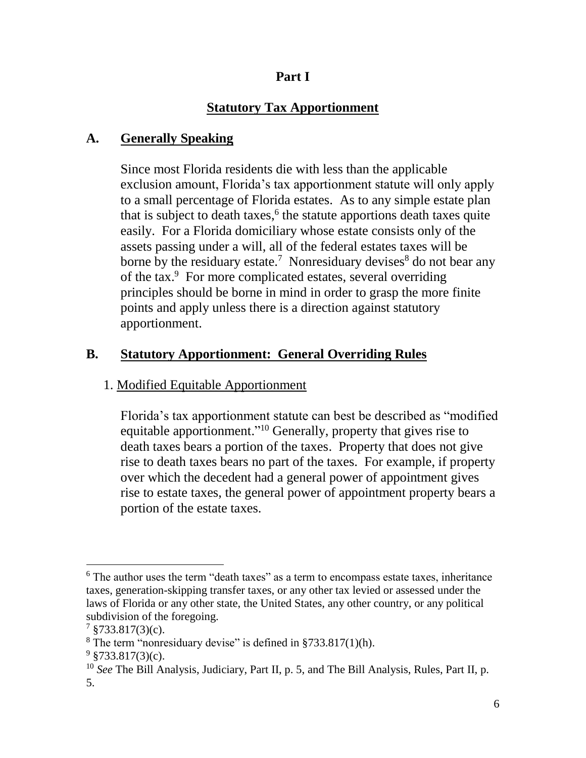## **Part I**

# **Statutory Tax Apportionment**

# **A. Generally Speaking**

Since most Florida residents die with less than the applicable exclusion amount, Florida's tax apportionment statute will only apply to a small percentage of Florida estates. As to any simple estate plan that is subject to death taxes, 6 the statute apportions death taxes quite easily. For a Florida domiciliary whose estate consists only of the assets passing under a will, all of the federal estates taxes will be borne by the residuary estate.<sup>7</sup> Nonresiduary devises<sup>8</sup> do not bear any of the tax.<sup>9</sup> For more complicated estates, several overriding principles should be borne in mind in order to grasp the more finite points and apply unless there is a direction against statutory apportionment.

# **B. Statutory Apportionment: General Overriding Rules**

## 1. Modified Equitable Apportionment

Florida's tax apportionment statute can best be described as "modified equitable apportionment."<sup>10</sup> Generally, property that gives rise to death taxes bears a portion of the taxes. Property that does not give rise to death taxes bears no part of the taxes. For example, if property over which the decedent had a general power of appointment gives rise to estate taxes, the general power of appointment property bears a portion of the estate taxes.

<sup>&</sup>lt;sup>6</sup> The author uses the term "death taxes" as a term to encompass estate taxes, inheritance taxes, generation-skipping transfer taxes, or any other tax levied or assessed under the laws of Florida or any other state, the United States, any other country, or any political subdivision of the foregoing.

 $7 \text{ }$ \$733.817(3)(c).

 $8$  The term "nonresiduary devise" is defined in  $$733.817(1)(h)$ .

 $9 \text{ } $733.817(3)$ (c).

<sup>10</sup> *See* The Bill Analysis, Judiciary, Part II, p. 5, and The Bill Analysis, Rules, Part II, p. 5.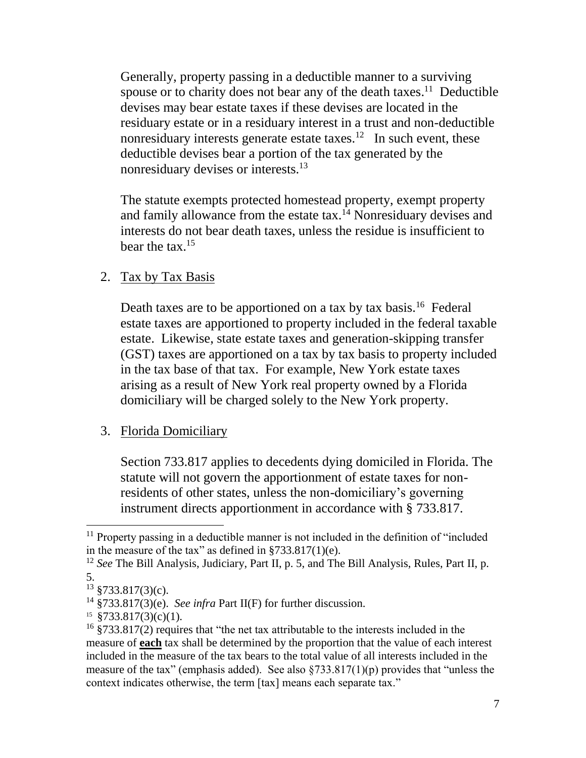Generally, property passing in a deductible manner to a surviving spouse or to charity does not bear any of the death taxes.<sup>11</sup> Deductible devises may bear estate taxes if these devises are located in the residuary estate or in a residuary interest in a trust and non-deductible nonresiduary interests generate estate taxes.<sup>12</sup> In such event, these deductible devises bear a portion of the tax generated by the nonresiduary devises or interests.<sup>13</sup>

The statute exempts protected homestead property, exempt property and family allowance from the estate tax.<sup> $14$ </sup> Nonresiduary devises and interests do not bear death taxes, unless the residue is insufficient to bear the tax.<sup>15</sup>

#### 2. Tax by Tax Basis

Death taxes are to be apportioned on a tax by tax basis.<sup>16</sup> Federal estate taxes are apportioned to property included in the federal taxable estate. Likewise, state estate taxes and generation-skipping transfer (GST) taxes are apportioned on a tax by tax basis to property included in the tax base of that tax. For example, New York estate taxes arising as a result of New York real property owned by a Florida domiciliary will be charged solely to the New York property.

### 3. Florida Domiciliary

Section 733.817 applies to decedents dying domiciled in Florida. The statute will not govern the apportionment of estate taxes for nonresidents of other states, unless the non-domiciliary's governing instrument directs apportionment in accordance with § 733.817.

<sup>&</sup>lt;sup>11</sup> Property passing in a deductible manner is not included in the definition of "included" in the measure of the tax" as defined in  $\S 733.817(1)$ (e).

<sup>&</sup>lt;sup>12</sup> *See* The Bill Analysis, Judiciary, Part II, p. 5, and The Bill Analysis, Rules, Part II, p. 5.

 $13 \text{ } $733.817(3)$ (c).

<sup>14</sup> §733.817(3)(e). *See infra* Part II(F) for further discussion.

<sup>15</sup> §733.817(3)(c)(1).

<sup>16</sup> §733.817(2) requires that "the net tax attributable to the interests included in the measure of **each** tax shall be determined by the proportion that the value of each interest included in the measure of the tax bears to the total value of all interests included in the measure of the tax" (emphasis added). See also  $\S 733.817(1)(p)$  provides that "unless the context indicates otherwise, the term [tax] means each separate tax."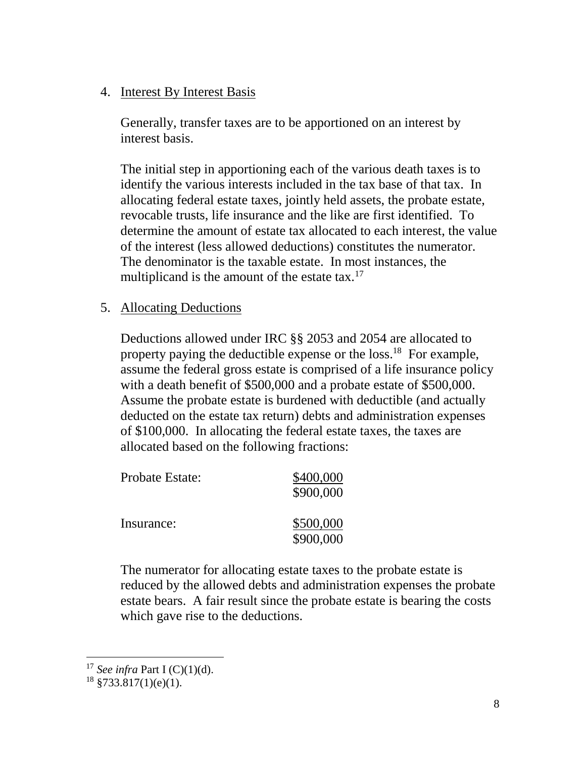### 4. Interest By Interest Basis

Generally, transfer taxes are to be apportioned on an interest by interest basis.

The initial step in apportioning each of the various death taxes is to identify the various interests included in the tax base of that tax. In allocating federal estate taxes, jointly held assets, the probate estate, revocable trusts, life insurance and the like are first identified. To determine the amount of estate tax allocated to each interest, the value of the interest (less allowed deductions) constitutes the numerator. The denominator is the taxable estate. In most instances, the multiplicand is the amount of the estate tax.<sup>17</sup>

### 5. Allocating Deductions

Deductions allowed under IRC §§ 2053 and 2054 are allocated to property paying the deductible expense or the loss.<sup>18</sup> For example, assume the federal gross estate is comprised of a life insurance policy with a death benefit of \$500,000 and a probate estate of \$500,000. Assume the probate estate is burdened with deductible (and actually deducted on the estate tax return) debts and administration expenses of \$100,000. In allocating the federal estate taxes, the taxes are allocated based on the following fractions:

| Probate Estate: | \$400,000<br>\$900,000 |
|-----------------|------------------------|
| Insurance:      | \$500,000<br>\$900,000 |

The numerator for allocating estate taxes to the probate estate is reduced by the allowed debts and administration expenses the probate estate bears. A fair result since the probate estate is bearing the costs which gave rise to the deductions.

<sup>17</sup> *See infra* Part I (C)(1)(d).

 $18$  §733.817(1)(e)(1).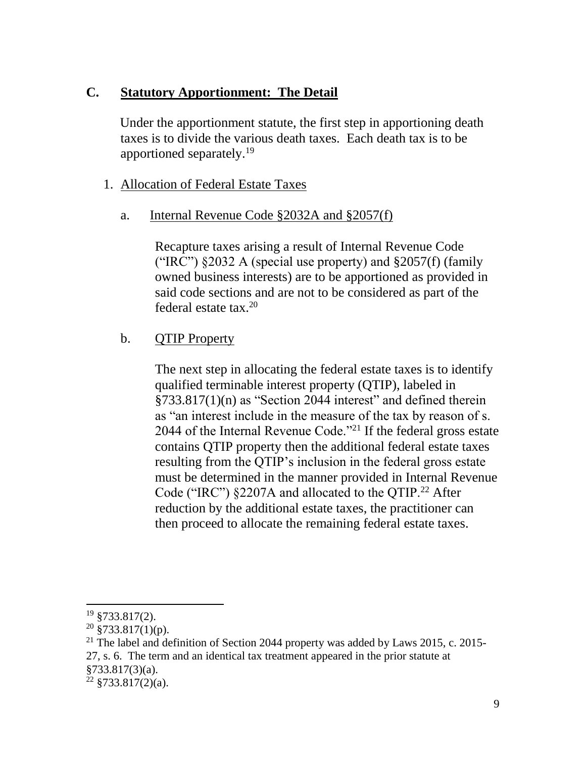### **C. Statutory Apportionment: The Detail**

 Under the apportionment statute, the first step in apportioning death taxes is to divide the various death taxes. Each death tax is to be apportioned separately.<sup>19</sup>

### 1. Allocation of Federal Estate Taxes

### a. Internal Revenue Code §2032A and §2057(f)

Recapture taxes arising a result of Internal Revenue Code ("IRC")  $\S 2032$  A (special use property) and  $\S 2057(f)$  (family owned business interests) are to be apportioned as provided in said code sections and are not to be considered as part of the federal estate tax.<sup>20</sup>

# b. QTIP Property

The next step in allocating the federal estate taxes is to identify qualified terminable interest property (QTIP), labeled in §733.817(1)(n) as "Section 2044 interest" and defined therein as "an interest include in the measure of the tax by reason of s. 2044 of the Internal Revenue Code."<sup>21</sup> If the federal gross estate contains QTIP property then the additional federal estate taxes resulting from the QTIP's inclusion in the federal gross estate must be determined in the manner provided in Internal Revenue Code ("IRC") §2207A and allocated to the QTIP.<sup>22</sup> After reduction by the additional estate taxes, the practitioner can then proceed to allocate the remaining federal estate taxes.

<sup>19</sup> §733.817(2).

 $20\frac{1}{3}733.817(1)(p)$ .

<sup>&</sup>lt;sup>21</sup> The label and definition of Section 2044 property was added by Laws 2015, c. 2015-27, s. 6. The term and an identical tax treatment appeared in the prior statute at §733.817(3)(a).

 $22 \frac{$23.817(2)(a)}{6}.$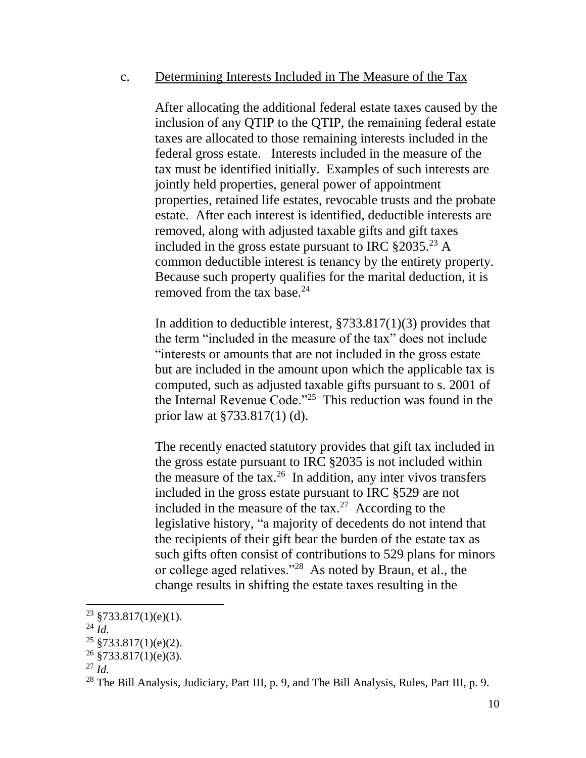#### c. Determining Interests Included in The Measure of the Tax

After allocating the additional federal estate taxes caused by the inclusion of any QTIP to the QTIP, the remaining federal estate taxes are allocated to those remaining interests included in the federal gross estate. Interests included in the measure of the tax must be identified initially. Examples of such interests are jointly held properties, general power of appointment properties, retained life estates, revocable trusts and the probate estate. After each interest is identified, deductible interests are removed, along with adjusted taxable gifts and gift taxes included in the gross estate pursuant to IRC  $\S 2035.^{23}$  A common deductible interest is tenancy by the entirety property. Because such property qualifies for the marital deduction, it is removed from the tax base. $24$ 

In addition to deductible interest, §733.817(1)(3) provides that the term "included in the measure of the tax" does not include "interests or amounts that are not included in the gross estate but are included in the amount upon which the applicable tax is computed, such as adjusted taxable gifts pursuant to s. 2001 of the Internal Revenue Code."<sup>25</sup> This reduction was found in the prior law at §733.817(1) (d).

The recently enacted statutory provides that gift tax included in the gross estate pursuant to IRC §2035 is not included within the measure of the tax. $26$  In addition, any inter vivos transfers included in the gross estate pursuant to IRC §529 are not included in the measure of the tax.<sup>27</sup> According to the legislative history, "a majority of decedents do not intend that the recipients of their gift bear the burden of the estate tax as such gifts often consist of contributions to 529 plans for minors or college aged relatives."<sup>28</sup> As noted by Braun, et al., the change results in shifting the estate taxes resulting in the

 $23$  §733.817(1)(e)(1).

 $^{24}$   $\dot{I}$ *d*.

 $25 \frac{\text{8733.817}}{10}$ (e)(2).

 $26$  §733.817(1)(e)(3).

<sup>27</sup> *Id.*

<sup>&</sup>lt;sup>28</sup> The Bill Analysis, Judiciary, Part III, p. 9, and The Bill Analysis, Rules, Part III, p. 9.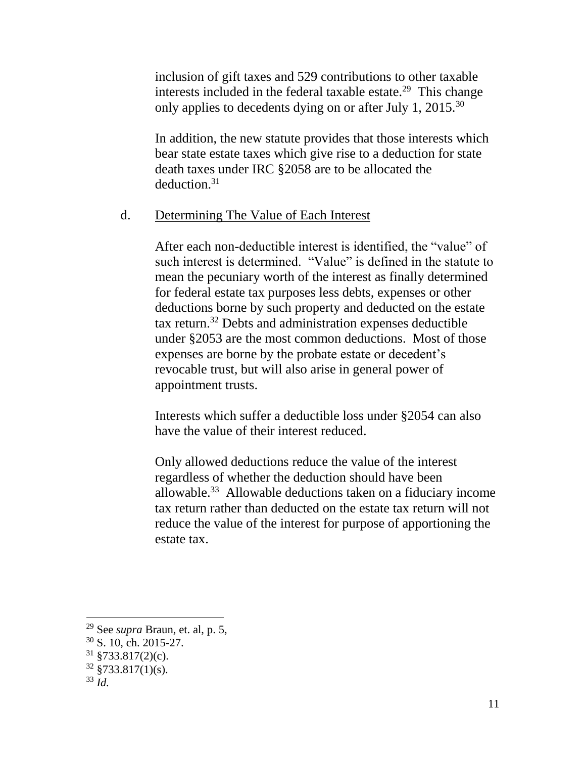inclusion of gift taxes and 529 contributions to other taxable interests included in the federal taxable estate.<sup>29</sup> This change only applies to decedents dying on or after July 1, 2015.<sup>30</sup>

In addition, the new statute provides that those interests which bear state estate taxes which give rise to a deduction for state death taxes under IRC §2058 are to be allocated the deduction.<sup>31</sup>

#### d. Determining The Value of Each Interest

After each non-deductible interest is identified, the "value" of such interest is determined. "Value" is defined in the statute to mean the pecuniary worth of the interest as finally determined for federal estate tax purposes less debts, expenses or other deductions borne by such property and deducted on the estate tax return. <sup>32</sup> Debts and administration expenses deductible under §2053 are the most common deductions. Most of those expenses are borne by the probate estate or decedent's revocable trust, but will also arise in general power of appointment trusts.

Interests which suffer a deductible loss under §2054 can also have the value of their interest reduced.

Only allowed deductions reduce the value of the interest regardless of whether the deduction should have been allowable.<sup>33</sup> Allowable deductions taken on a fiduciary income tax return rather than deducted on the estate tax return will not reduce the value of the interest for purpose of apportioning the estate tax.

<sup>29</sup> See *supra* Braun, et. al, p. 5,

<sup>30</sup> S. 10, ch. 2015-27.

 $31 \frac{1}{9}$  \$733.817(2)(c).

 $32 \frac{\text{ }8733.817(1)(s)}{s}$ .

<sup>33</sup> *Id.*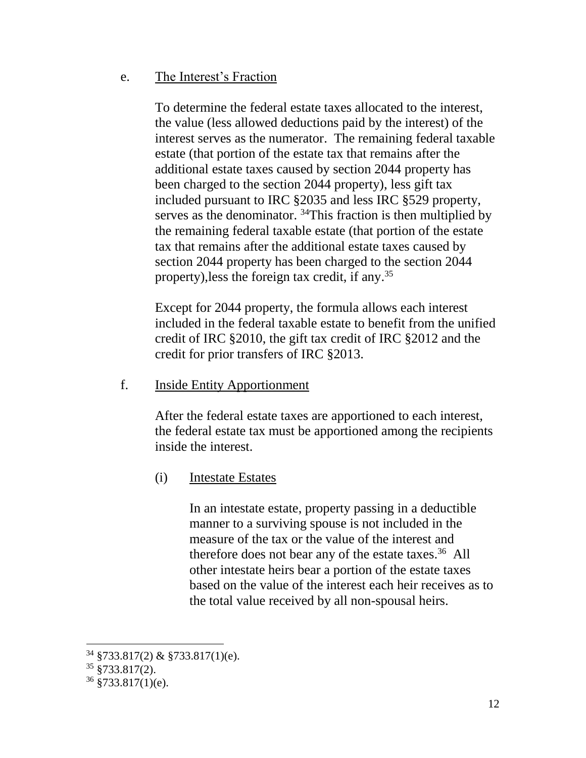### e. The Interest's Fraction

To determine the federal estate taxes allocated to the interest, the value (less allowed deductions paid by the interest) of the interest serves as the numerator. The remaining federal taxable estate (that portion of the estate tax that remains after the additional estate taxes caused by section 2044 property has been charged to the section 2044 property), less gift tax included pursuant to IRC §2035 and less IRC §529 property, serves as the denominator. <sup>34</sup>This fraction is then multiplied by the remaining federal taxable estate (that portion of the estate tax that remains after the additional estate taxes caused by section 2044 property has been charged to the section 2044 property),less the foreign tax credit, if any. 35

Except for 2044 property, the formula allows each interest included in the federal taxable estate to benefit from the unified credit of IRC §2010, the gift tax credit of IRC §2012 and the credit for prior transfers of IRC §2013.

f. Inside Entity Apportionment

After the federal estate taxes are apportioned to each interest, the federal estate tax must be apportioned among the recipients inside the interest.

(i) Intestate Estates

In an intestate estate, property passing in a deductible manner to a surviving spouse is not included in the measure of the tax or the value of the interest and therefore does not bear any of the estate taxes.<sup>36</sup> All other intestate heirs bear a portion of the estate taxes based on the value of the interest each heir receives as to the total value received by all non-spousal heirs.

 $34$  §733.817(2) & §733.817(1)(e).

<sup>35</sup> §733.817(2).

 $36 \frac{8733.817(1)}{e}$ .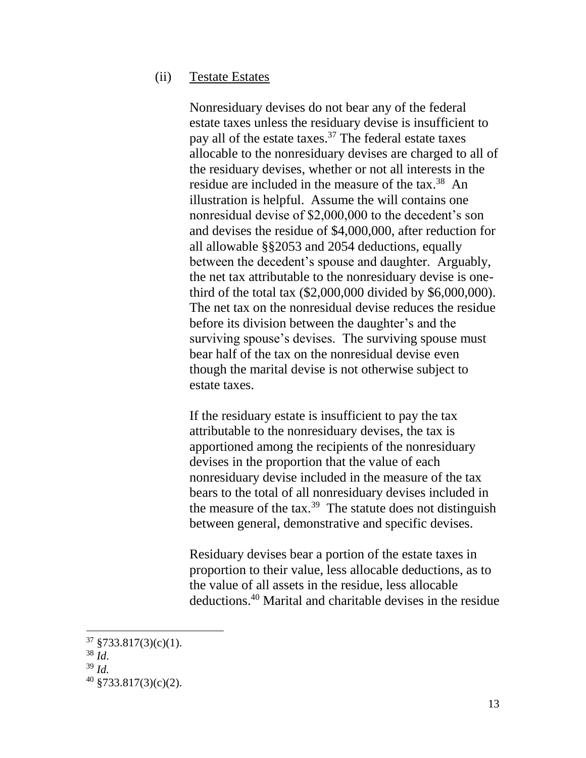#### (ii) Testate Estates

Nonresiduary devises do not bear any of the federal estate taxes unless the residuary devise is insufficient to pay all of the estate taxes. $37$  The federal estate taxes allocable to the nonresiduary devises are charged to all of the residuary devises, whether or not all interests in the residue are included in the measure of the tax.<sup>38</sup> An illustration is helpful. Assume the will contains one nonresidual devise of \$2,000,000 to the decedent's son and devises the residue of \$4,000,000, after reduction for all allowable §§2053 and 2054 deductions, equally between the decedent's spouse and daughter. Arguably, the net tax attributable to the nonresiduary devise is onethird of the total tax (\$2,000,000 divided by \$6,000,000). The net tax on the nonresidual devise reduces the residue before its division between the daughter's and the surviving spouse's devises. The surviving spouse must bear half of the tax on the nonresidual devise even though the marital devise is not otherwise subject to estate taxes.

If the residuary estate is insufficient to pay the tax attributable to the nonresiduary devises, the tax is apportioned among the recipients of the nonresiduary devises in the proportion that the value of each nonresiduary devise included in the measure of the tax bears to the total of all nonresiduary devises included in the measure of the tax.<sup>39</sup> The statute does not distinguish between general, demonstrative and specific devises.

Residuary devises bear a portion of the estate taxes in proportion to their value, less allocable deductions, as to the value of all assets in the residue, less allocable deductions.<sup>40</sup> Marital and charitable devises in the residue

 $37 \frac{$733.817(3)(c)(1)}{6}$ .

 $38\,$   $\mathrm{M}$ .

<sup>39</sup> *Id.*

 $40 \frac{\text{8733.817}}{3}$ (c)(2).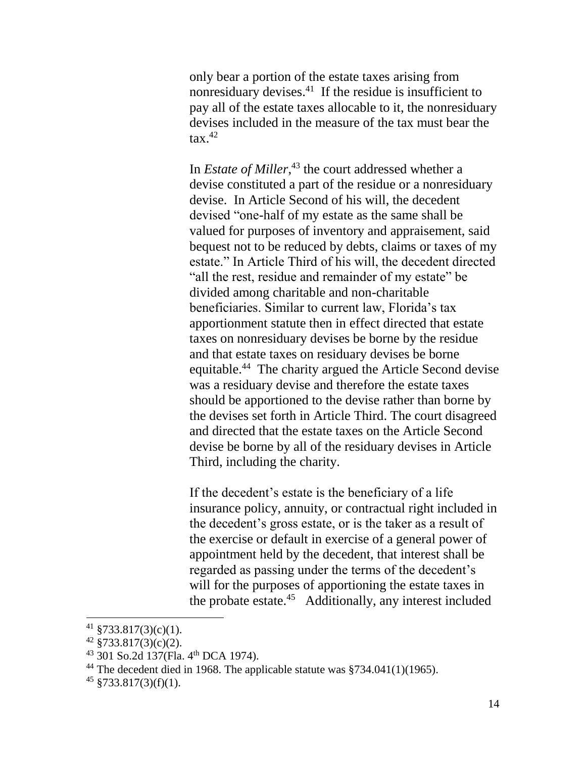only bear a portion of the estate taxes arising from nonresiduary devises.<sup>41</sup> If the residue is insufficient to pay all of the estate taxes allocable to it, the nonresiduary devises included in the measure of the tax must bear the  $\arctan 42$ 

In *Estate of Miller*, <sup>43</sup> the court addressed whether a devise constituted a part of the residue or a nonresiduary devise. In Article Second of his will, the decedent devised "one-half of my estate as the same shall be valued for purposes of inventory and appraisement, said bequest not to be reduced by debts, claims or taxes of my estate." In Article Third of his will, the decedent directed "all the rest, residue and remainder of my estate" be divided among charitable and non-charitable beneficiaries. Similar to current law, Florida's tax apportionment statute then in effect directed that estate taxes on nonresiduary devises be borne by the residue and that estate taxes on residuary devises be borne equitable.<sup>44</sup> The charity argued the Article Second devise was a residuary devise and therefore the estate taxes should be apportioned to the devise rather than borne by the devises set forth in Article Third. The court disagreed and directed that the estate taxes on the Article Second devise be borne by all of the residuary devises in Article Third, including the charity.

If the decedent's estate is the beneficiary of a life insurance policy, annuity, or contractual right included in the decedent's gross estate, or is the taker as a result of the exercise or default in exercise of a general power of appointment held by the decedent, that interest shall be regarded as passing under the terms of the decedent's will for the purposes of apportioning the estate taxes in the probate estate.<sup>45</sup> Additionally, any interest included

<sup>41</sup> §733.817(3)(c)(1).

 $42\frac{1}{3}733.817(3)(c)(2)$ .

 $^{43}$  301 So.2d 137(Fla. 4<sup>th</sup> DCA 1974).

<sup>&</sup>lt;sup>44</sup> The decedent died in 1968. The applicable statute was  $\frac{$734.041(1)(1965)}{734.041(1)(1965)}$ .

 $45 \frac{\$733.817(3)(f)(1)}{2}$ .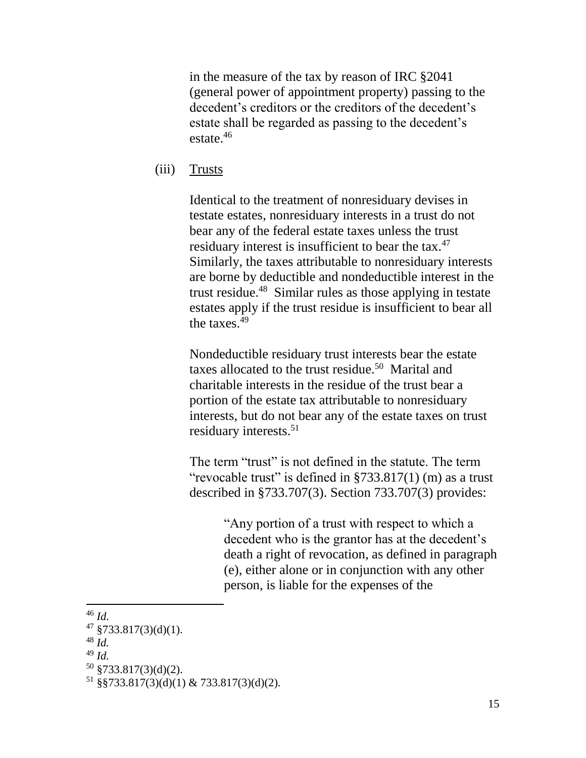in the measure of the tax by reason of IRC §2041 (general power of appointment property) passing to the decedent's creditors or the creditors of the decedent's estate shall be regarded as passing to the decedent's estate.<sup>46</sup>

(iii) Trusts

Identical to the treatment of nonresiduary devises in testate estates, nonresiduary interests in a trust do not bear any of the federal estate taxes unless the trust residuary interest is insufficient to bear the tax.<sup>47</sup> Similarly, the taxes attributable to nonresiduary interests are borne by deductible and nondeductible interest in the trust residue.<sup>48</sup> Similar rules as those applying in testate estates apply if the trust residue is insufficient to bear all the taxes. $49$ 

Nondeductible residuary trust interests bear the estate taxes allocated to the trust residue.<sup>50</sup> Marital and charitable interests in the residue of the trust bear a portion of the estate tax attributable to nonresiduary interests, but do not bear any of the estate taxes on trust residuary interests. 51

The term "trust" is not defined in the statute. The term "revocable trust" is defined in  $\S 733.817(1)$  (m) as a trust described in §733.707(3). Section 733.707(3) provides:

> "Any portion of a trust with respect to which a decedent who is the grantor has at the decedent's death a right of revocation, as defined in paragraph (e), either alone or in conjunction with any other person, is liable for the expenses of the

<sup>46</sup> *Id.*

 $47 \frac{$733.817(3)(d)(1)}{.}$ 

<sup>48</sup> *Id.*

<sup>49</sup> *Id.*

<sup>50</sup> §733.817(3)(d)(2).

 $51 \text{ §}5733.817(3)(d)(1) \& 733.817(3)(d)(2).$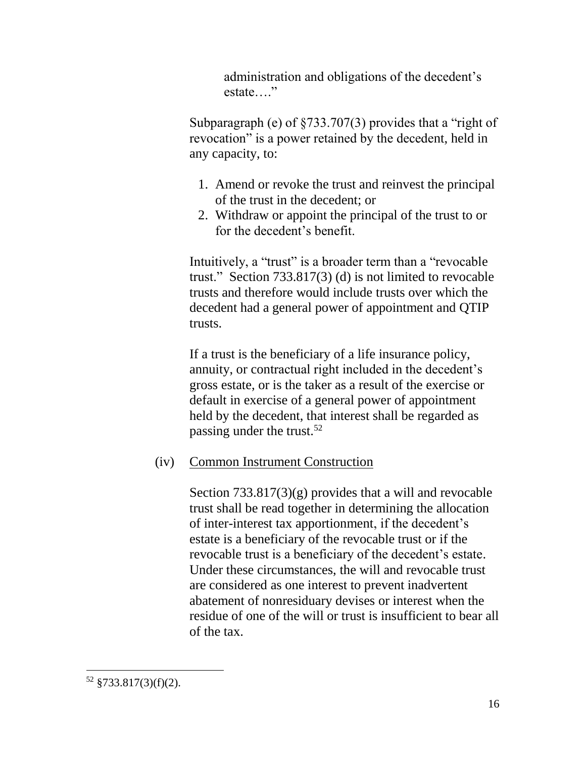administration and obligations of the decedent's estate…."

Subparagraph (e) of §733.707(3) provides that a "right of revocation" is a power retained by the decedent, held in any capacity, to:

- 1. Amend or revoke the trust and reinvest the principal of the trust in the decedent; or
- 2. Withdraw or appoint the principal of the trust to or for the decedent's benefit.

Intuitively, a "trust" is a broader term than a "revocable trust." Section 733.817(3) (d) is not limited to revocable trusts and therefore would include trusts over which the decedent had a general power of appointment and QTIP trusts.

If a trust is the beneficiary of a life insurance policy, annuity, or contractual right included in the decedent's gross estate, or is the taker as a result of the exercise or default in exercise of a general power of appointment held by the decedent, that interest shall be regarded as passing under the trust.<sup>52</sup>

# (iv) Common Instrument Construction

Section 733.817(3)(g) provides that a will and revocable trust shall be read together in determining the allocation of inter-interest tax apportionment, if the decedent's estate is a beneficiary of the revocable trust or if the revocable trust is a beneficiary of the decedent's estate. Under these circumstances, the will and revocable trust are considered as one interest to prevent inadvertent abatement of nonresiduary devises or interest when the residue of one of the will or trust is insufficient to bear all of the tax.

 $\overline{a}$ <sup>52</sup> §733.817(3)(f)(2).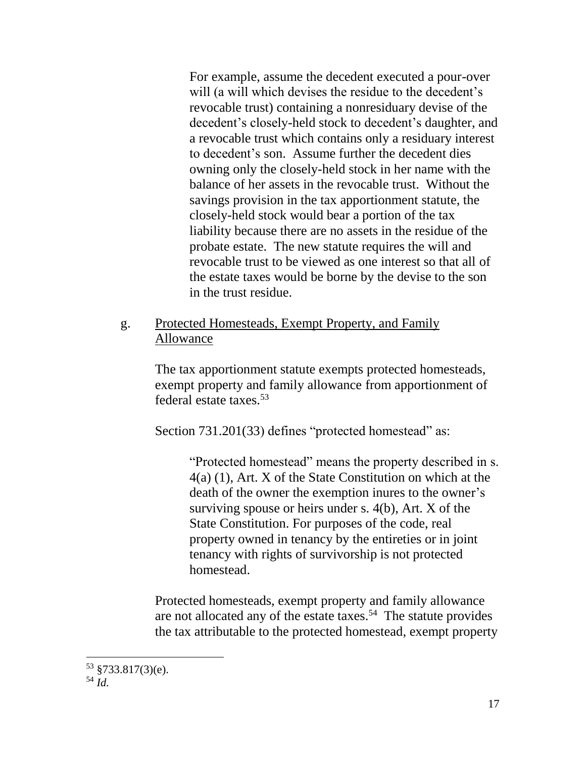For example, assume the decedent executed a pour-over will (a will which devises the residue to the decedent's revocable trust) containing a nonresiduary devise of the decedent's closely-held stock to decedent's daughter, and a revocable trust which contains only a residuary interest to decedent's son. Assume further the decedent dies owning only the closely-held stock in her name with the balance of her assets in the revocable trust. Without the savings provision in the tax apportionment statute, the closely-held stock would bear a portion of the tax liability because there are no assets in the residue of the probate estate. The new statute requires the will and revocable trust to be viewed as one interest so that all of the estate taxes would be borne by the devise to the son in the trust residue.

## g. Protected Homesteads, Exempt Property, and Family Allowance

The tax apportionment statute exempts protected homesteads, exempt property and family allowance from apportionment of federal estate taxes.<sup>53</sup>

Section 731.201(33) defines "protected homestead" as:

"Protected homestead" means the property described in s. 4(a) (1), Art. X of the State Constitution on which at the death of the owner the exemption inures to the owner's surviving spouse or heirs under s. 4(b), Art. X of the State Constitution. For purposes of the code, real property owned in tenancy by the entireties or in joint tenancy with rights of survivorship is not protected homestead.

Protected homesteads, exempt property and family allowance are not allocated any of the estate taxes.<sup>54</sup> The statute provides the tax attributable to the protected homestead, exempt property

 $53 \text{ } $733.817(3)$ (e).

<sup>54</sup> *Id.*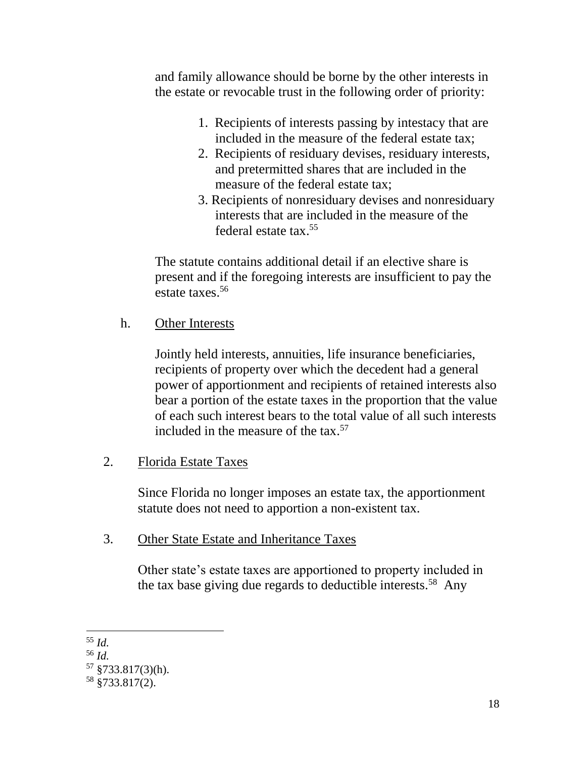and family allowance should be borne by the other interests in the estate or revocable trust in the following order of priority:

- 1. Recipients of interests passing by intestacy that are included in the measure of the federal estate tax;
- 2. Recipients of residuary devises, residuary interests, and pretermitted shares that are included in the measure of the federal estate tax;
- 3. Recipients of nonresiduary devises and nonresiduary interests that are included in the measure of the federal estate tax. 55

The statute contains additional detail if an elective share is present and if the foregoing interests are insufficient to pay the estate taxes. 56

h. Other Interests

Jointly held interests, annuities, life insurance beneficiaries, recipients of property over which the decedent had a general power of apportionment and recipients of retained interests also bear a portion of the estate taxes in the proportion that the value of each such interest bears to the total value of all such interests included in the measure of the tax. 57

# 2. Florida Estate Taxes

Since Florida no longer imposes an estate tax, the apportionment statute does not need to apportion a non-existent tax.

### 3. Other State Estate and Inheritance Taxes

Other state's estate taxes are apportioned to property included in the tax base giving due regards to deductible interests.<sup>58</sup> Any

<sup>55</sup> *Id.*

<sup>56</sup> *Id.*

 $57 \text{ } $733.817(3)$ (h).

<sup>58</sup> §733.817(2).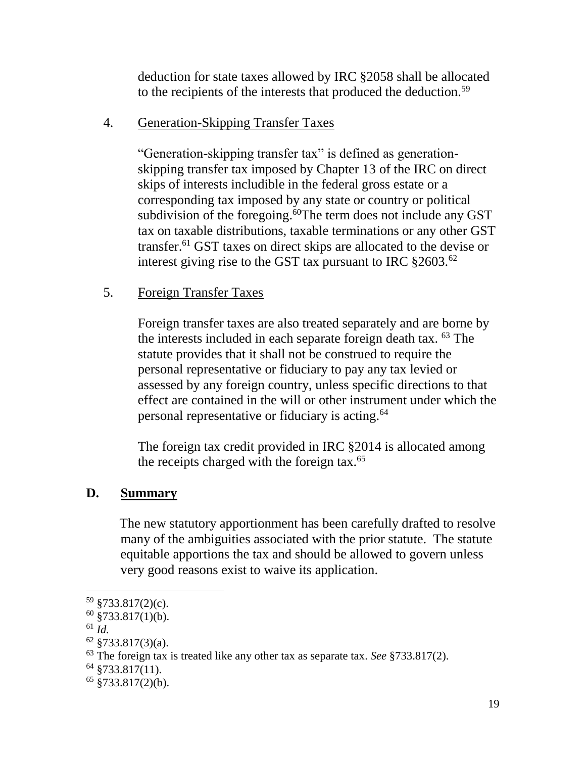deduction for state taxes allowed by IRC §2058 shall be allocated to the recipients of the interests that produced the deduction.<sup>59</sup>

# 4. Generation-Skipping Transfer Taxes

"Generation-skipping transfer tax" is defined as generationskipping transfer tax imposed by Chapter 13 of the IRC on direct skips of interests includible in the federal gross estate or a corresponding tax imposed by any state or country or political subdivision of the foregoing.<sup>60</sup>The term does not include any GST tax on taxable distributions, taxable terminations or any other GST transfer.<sup>61</sup> GST taxes on direct skips are allocated to the devise or interest giving rise to the GST tax pursuant to IRC  $\S 2603$ .<sup>62</sup>

### 5. Foreign Transfer Taxes

Foreign transfer taxes are also treated separately and are borne by the interests included in each separate foreign death tax. <sup>63</sup> The statute provides that it shall not be construed to require the personal representative or fiduciary to pay any tax levied or assessed by any foreign country, unless specific directions to that effect are contained in the will or other instrument under which the personal representative or fiduciary is acting.<sup>64</sup>

The foreign tax credit provided in IRC §2014 is allocated among the receipts charged with the foreign tax.<sup>65</sup>

# **D. Summary**

 The new statutory apportionment has been carefully drafted to resolve many of the ambiguities associated with the prior statute. The statute equitable apportions the tax and should be allowed to govern unless very good reasons exist to waive its application.

<sup>59</sup> §733.817(2)(c).

 $60 \overline{\text{ } }$ \$733.817(1)(b).

<sup>61</sup> *Id.*

 $62 \text{ } $733.817(3)(a).$ 

<sup>63</sup> The foreign tax is treated like any other tax as separate tax. *See* §733.817(2).

 $64$  §733.817(11).

 $65 \text{ } $733.817(2)(b)$ .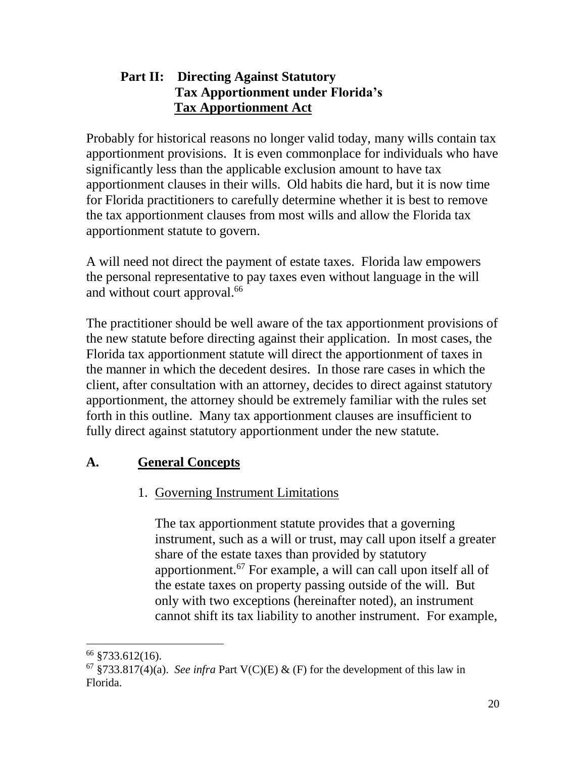# **Part II: Directing Against Statutory Tax Apportionment under Florida's Tax Apportionment Act**

Probably for historical reasons no longer valid today, many wills contain tax apportionment provisions. It is even commonplace for individuals who have significantly less than the applicable exclusion amount to have tax apportionment clauses in their wills. Old habits die hard, but it is now time for Florida practitioners to carefully determine whether it is best to remove the tax apportionment clauses from most wills and allow the Florida tax apportionment statute to govern.

A will need not direct the payment of estate taxes. Florida law empowers the personal representative to pay taxes even without language in the will and without court approval.<sup>66</sup>

The practitioner should be well aware of the tax apportionment provisions of the new statute before directing against their application. In most cases, the Florida tax apportionment statute will direct the apportionment of taxes in the manner in which the decedent desires. In those rare cases in which the client, after consultation with an attorney, decides to direct against statutory apportionment, the attorney should be extremely familiar with the rules set forth in this outline. Many tax apportionment clauses are insufficient to fully direct against statutory apportionment under the new statute.

# **A. General Concepts**

# 1. Governing Instrument Limitations

The tax apportionment statute provides that a governing instrument, such as a will or trust, may call upon itself a greater share of the estate taxes than provided by statutory apportionment.<sup>67</sup> For example, a will can call upon itself all of the estate taxes on property passing outside of the will. But only with two exceptions (hereinafter noted), an instrument cannot shift its tax liability to another instrument. For example,

<sup>66</sup> §733.612(16).

<sup>&</sup>lt;sup>67</sup> §733.817(4)(a). *See infra* Part V(C)(E) & (F) for the development of this law in Florida.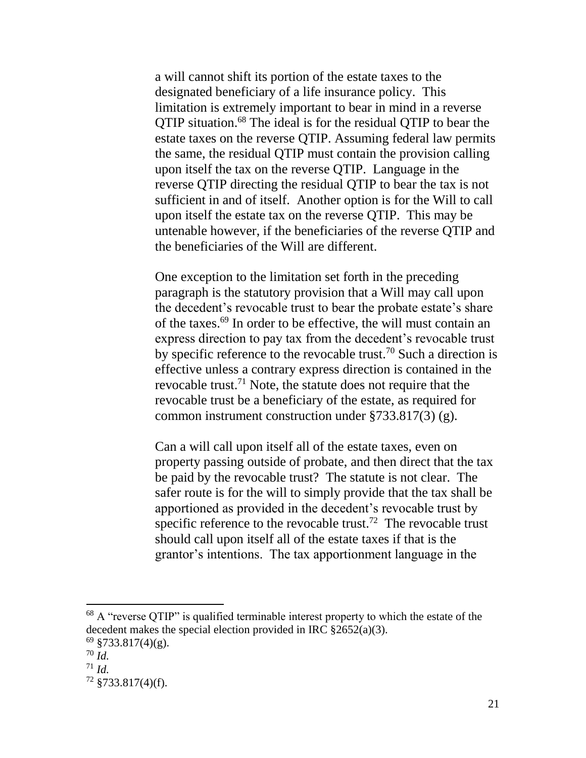a will cannot shift its portion of the estate taxes to the designated beneficiary of a life insurance policy. This limitation is extremely important to bear in mind in a reverse QTIP situation.<sup>68</sup> The ideal is for the residual QTIP to bear the estate taxes on the reverse QTIP. Assuming federal law permits the same, the residual QTIP must contain the provision calling upon itself the tax on the reverse QTIP. Language in the reverse QTIP directing the residual QTIP to bear the tax is not sufficient in and of itself. Another option is for the Will to call upon itself the estate tax on the reverse QTIP. This may be untenable however, if the beneficiaries of the reverse QTIP and the beneficiaries of the Will are different.

One exception to the limitation set forth in the preceding paragraph is the statutory provision that a Will may call upon the decedent's revocable trust to bear the probate estate's share of the taxes.<sup>69</sup> In order to be effective, the will must contain an express direction to pay tax from the decedent's revocable trust by specific reference to the revocable trust.<sup>70</sup> Such a direction is effective unless a contrary express direction is contained in the revocable trust.<sup>71</sup> Note, the statute does not require that the revocable trust be a beneficiary of the estate, as required for common instrument construction under §733.817(3) (g).

Can a will call upon itself all of the estate taxes, even on property passing outside of probate, and then direct that the tax be paid by the revocable trust? The statute is not clear. The safer route is for the will to simply provide that the tax shall be apportioned as provided in the decedent's revocable trust by specific reference to the revocable trust.<sup>72</sup> The revocable trust should call upon itself all of the estate taxes if that is the grantor's intentions. The tax apportionment language in the

 $68$  A "reverse QTIP" is qualified terminable interest property to which the estate of the decedent makes the special election provided in IRC  $\S 2652(a)(3)$ .  $69$  §733.817(4)(g).

<sup>70</sup> *Id.*

 $^{71}$  *Id.* 

 $72$  §733.817(4)(f).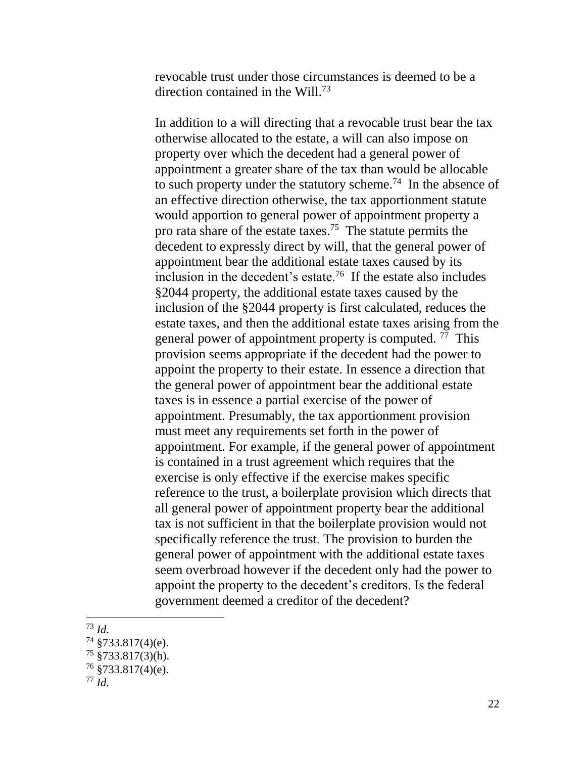revocable trust under those circumstances is deemed to be a direction contained in the Will.<sup>73</sup>

In addition to a will directing that a revocable trust bear the tax otherwise allocated to the estate, a will can also impose on property over which the decedent had a general power of appointment a greater share of the tax than would be allocable to such property under the statutory scheme.<sup>74</sup> In the absence of an effective direction otherwise, the tax apportionment statute would apportion to general power of appointment property a pro rata share of the estate taxes.<sup>75</sup> The statute permits the decedent to expressly direct by will, that the general power of appointment bear the additional estate taxes caused by its inclusion in the decedent's estate.<sup>76</sup> If the estate also includes §2044 property, the additional estate taxes caused by the inclusion of the §2044 property is first calculated, reduces the estate taxes, and then the additional estate taxes arising from the general power of appointment property is computed.<sup>77</sup> This provision seems appropriate if the decedent had the power to appoint the property to their estate. In essence a direction that the general power of appointment bear the additional estate taxes is in essence a partial exercise of the power of appointment. Presumably, the tax apportionment provision must meet any requirements set forth in the power of appointment. For example, if the general power of appointment is contained in a trust agreement which requires that the exercise is only effective if the exercise makes specific reference to the trust, a boilerplate provision which directs that all general power of appointment property bear the additional tax is not sufficient in that the boilerplate provision would not specifically reference the trust. The provision to burden the general power of appointment with the additional estate taxes seem overbroad however if the decedent only had the power to appoint the property to the decedent's creditors. Is the federal government deemed a creditor of the decedent?

<sup>73</sup> *Id*.

 $74$  §733.817(4)(e).

 $75 \frac{8}{3733.817(3)}$ (h).

 $76$  §733.817(4)(e).

<sup>77</sup> *Id.*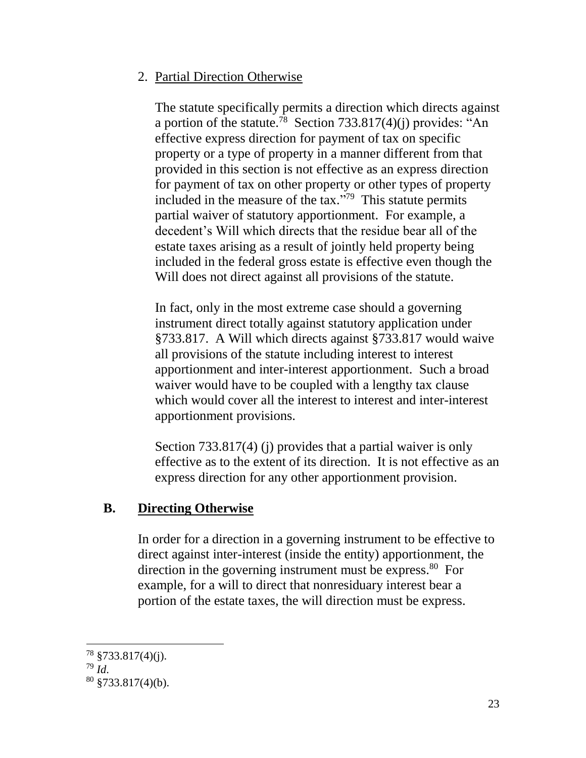## 2. Partial Direction Otherwise

The statute specifically permits a direction which directs against a portion of the statute.<sup>78</sup> Section 733.817(4)(j) provides: "An effective express direction for payment of tax on specific property or a type of property in a manner different from that provided in this section is not effective as an express direction for payment of tax on other property or other types of property included in the measure of the tax."<sup>79</sup> This statute permits partial waiver of statutory apportionment. For example, a decedent's Will which directs that the residue bear all of the estate taxes arising as a result of jointly held property being included in the federal gross estate is effective even though the Will does not direct against all provisions of the statute.

In fact, only in the most extreme case should a governing instrument direct totally against statutory application under §733.817. A Will which directs against §733.817 would waive all provisions of the statute including interest to interest apportionment and inter-interest apportionment. Such a broad waiver would have to be coupled with a lengthy tax clause which would cover all the interest to interest and inter-interest apportionment provisions.

Section 733.817(4) (j) provides that a partial waiver is only effective as to the extent of its direction. It is not effective as an express direction for any other apportionment provision.

# **B. Directing Otherwise**

In order for a direction in a governing instrument to be effective to direct against inter-interest (inside the entity) apportionment, the direction in the governing instrument must be express.<sup>80</sup> For example, for a will to direct that nonresiduary interest bear a portion of the estate taxes, the will direction must be express.

 $78$  §733.817(4)(j).

<sup>79</sup> *Id*.

 $80$  §733.817(4)(b).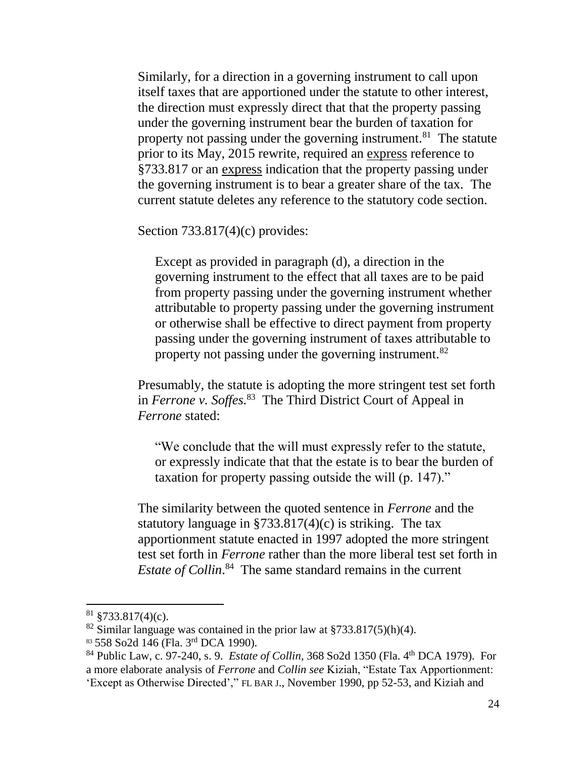Similarly, for a direction in a governing instrument to call upon itself taxes that are apportioned under the statute to other interest, the direction must expressly direct that that the property passing under the governing instrument bear the burden of taxation for property not passing under the governing instrument.<sup>81</sup> The statute prior to its May, 2015 rewrite, required an express reference to §733.817 or an express indication that the property passing under the governing instrument is to bear a greater share of the tax. The current statute deletes any reference to the statutory code section.

Section 733.817(4)(c) provides:

Except as provided in paragraph (d), a direction in the governing instrument to the effect that all taxes are to be paid from property passing under the governing instrument whether attributable to property passing under the governing instrument or otherwise shall be effective to direct payment from property passing under the governing instrument of taxes attributable to property not passing under the governing instrument.<sup>82</sup>

Presumably, the statute is adopting the more stringent test set forth in *Ferrone v. Soffes.* 83 The Third District Court of Appeal in *Ferrone* stated:

"We conclude that the will must expressly refer to the statute, or expressly indicate that that the estate is to bear the burden of taxation for property passing outside the will (p. 147)."

The similarity between the quoted sentence in *Ferrone* and the statutory language in §733.817(4)(c) is striking. The tax apportionment statute enacted in 1997 adopted the more stringent test set forth in *Ferrone* rather than the more liberal test set forth in *Estate of Collin*.<sup>84</sup> The same standard remains in the current

 $81 \frac{\text{S}}{\text{S}}$ 733.817(4)(c).

<sup>&</sup>lt;sup>82</sup> Similar language was contained in the prior law at  $\frac{$733.817(5)(h)(4)}{325.817(5)}$ .

<sup>83 558</sup> So2d 146 (Fla. 3rd DCA 1990).

<sup>84</sup> Public Law, c. 97-240, s. 9. *Estate of Collin*, 368 So2d 1350 (Fla. 4th DCA 1979). For a more elaborate analysis of *Ferrone* and *Collin see* Kiziah, "Estate Tax Apportionment: 'Except as Otherwise Directed'," FL BAR J., November 1990, pp 52-53, and Kiziah and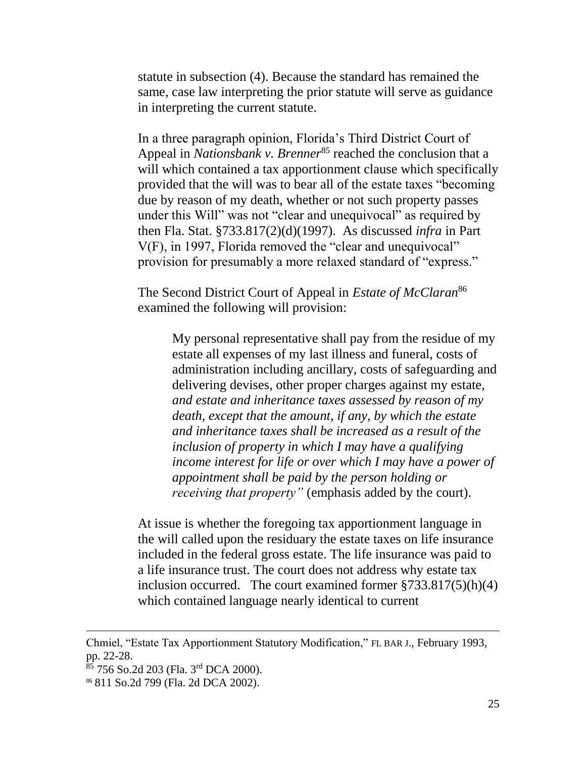statute in subsection (4). Because the standard has remained the same, case law interpreting the prior statute will serve as guidance in interpreting the current statute.

In a three paragraph opinion, Florida's Third District Court of Appeal in *Nationsbank v. Brenner*<sup>85</sup> reached the conclusion that a will which contained a tax apportionment clause which specifically provided that the will was to bear all of the estate taxes "becoming due by reason of my death, whether or not such property passes under this Will" was not "clear and unequivocal" as required by then Fla. Stat. §733.817(2)(d)(1997). As discussed *infra* in Part V(F), in 1997, Florida removed the "clear and unequivocal" provision for presumably a more relaxed standard of "express."

The Second District Court of Appeal in *Estate of McClaran*<sup>86</sup> examined the following will provision:

> My personal representative shall pay from the residue of my estate all expenses of my last illness and funeral, costs of administration including ancillary, costs of safeguarding and delivering devises, other proper charges against my estate, *and estate and inheritance taxes assessed by reason of my death, except that the amount, if any, by which the estate and inheritance taxes shall be increased as a result of the inclusion of property in which I may have a qualifying income interest for life or over which I may have a power of appointment shall be paid by the person holding or receiving that property"* (emphasis added by the court).

At issue is whether the foregoing tax apportionment language in the will called upon the residuary the estate taxes on life insurance included in the federal gross estate. The life insurance was paid to a life insurance trust. The court does not address why estate tax inclusion occurred. The court examined former §733.817(5)(h)(4) which contained language nearly identical to current

Chmiel, "Estate Tax Apportionment Statutory Modification," FL BAR J., February 1993, pp. 22-28.

 $85$  756 So.2d 203 (Fla. 3<sup>rd</sup> DCA 2000).

<sup>86</sup> 811 So.2d 799 (Fla. 2d DCA 2002).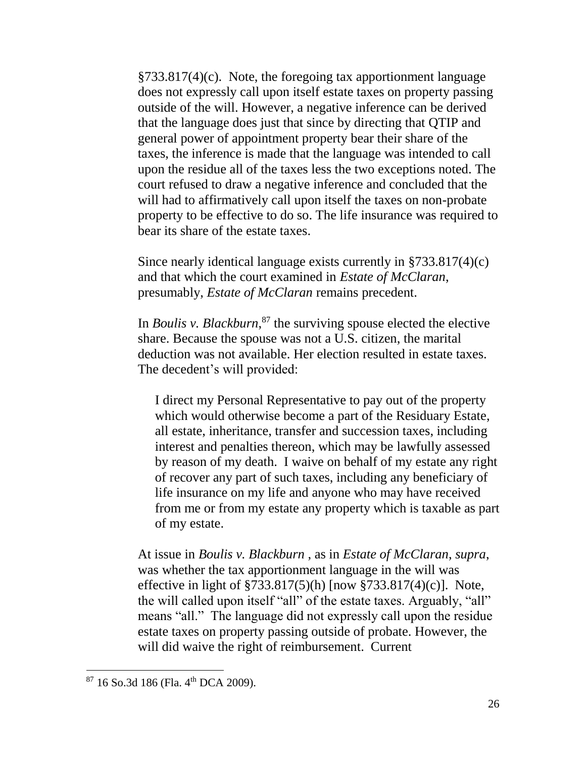§733.817(4)(c). Note, the foregoing tax apportionment language does not expressly call upon itself estate taxes on property passing outside of the will. However, a negative inference can be derived that the language does just that since by directing that QTIP and general power of appointment property bear their share of the taxes, the inference is made that the language was intended to call upon the residue all of the taxes less the two exceptions noted. The court refused to draw a negative inference and concluded that the will had to affirmatively call upon itself the taxes on non-probate property to be effective to do so. The life insurance was required to bear its share of the estate taxes.

Since nearly identical language exists currently in §733.817(4)(c) and that which the court examined in *Estate of McClaran*, presumably, *Estate of McClaran* remains precedent.

In *Boulis v. Blackburn*, <sup>87</sup> the surviving spouse elected the elective share. Because the spouse was not a U.S. citizen, the marital deduction was not available. Her election resulted in estate taxes. The decedent's will provided:

I direct my Personal Representative to pay out of the property which would otherwise become a part of the Residuary Estate, all estate, inheritance, transfer and succession taxes, including interest and penalties thereon, which may be lawfully assessed by reason of my death. I waive on behalf of my estate any right of recover any part of such taxes, including any beneficiary of life insurance on my life and anyone who may have received from me or from my estate any property which is taxable as part of my estate.

At issue in *Boulis v. Blackburn* , as in *Estate of McClaran*, *supra*, was whether the tax apportionment language in the will was effective in light of §733.817(5)(h) [now §733.817(4)(c)]. Note, the will called upon itself "all" of the estate taxes. Arguably, "all" means "all." The language did not expressly call upon the residue estate taxes on property passing outside of probate. However, the will did waive the right of reimbursement. Current

 $87$  16 So.3d 186 (Fla. 4<sup>th</sup> DCA 2009).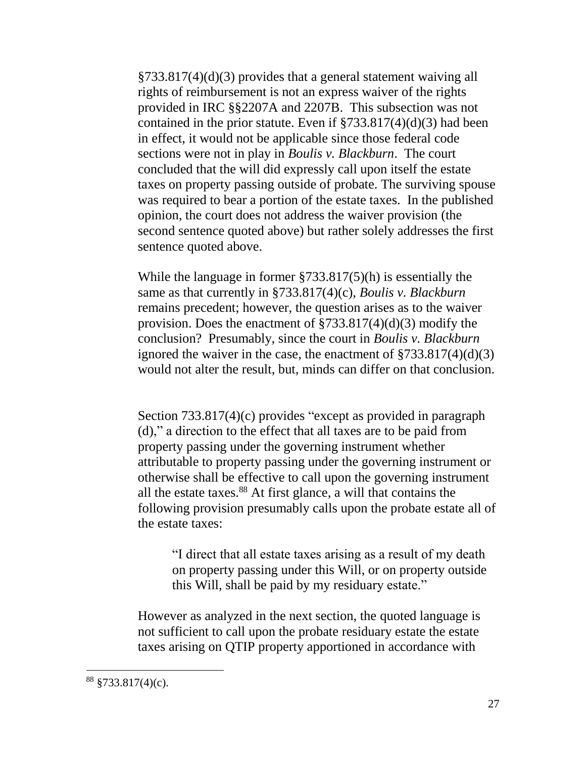§733.817(4)(d)(3) provides that a general statement waiving all rights of reimbursement is not an express waiver of the rights provided in IRC §§2207A and 2207B. This subsection was not contained in the prior statute. Even if  $\S 733.817(4)(d)(3)$  had been in effect, it would not be applicable since those federal code sections were not in play in *Boulis v. Blackburn*. The court concluded that the will did expressly call upon itself the estate taxes on property passing outside of probate. The surviving spouse was required to bear a portion of the estate taxes. In the published opinion, the court does not address the waiver provision (the second sentence quoted above) but rather solely addresses the first sentence quoted above.

While the language in former §733.817(5)(h) is essentially the same as that currently in §733.817(4)(c), *Boulis v. Blackburn* remains precedent; however, the question arises as to the waiver provision. Does the enactment of §733.817(4)(d)(3) modify the conclusion? Presumably, since the court in *Boulis v. Blackburn* ignored the waiver in the case, the enactment of  $\frac{2733.817(4)(d)}{3}$ would not alter the result, but, minds can differ on that conclusion.

Section 733.817(4)(c) provides "except as provided in paragraph (d)," a direction to the effect that all taxes are to be paid from property passing under the governing instrument whether attributable to property passing under the governing instrument or otherwise shall be effective to call upon the governing instrument all the estate taxes.<sup>88</sup> At first glance, a will that contains the following provision presumably calls upon the probate estate all of the estate taxes:

"I direct that all estate taxes arising as a result of my death on property passing under this Will, or on property outside this Will, shall be paid by my residuary estate."

However as analyzed in the next section, the quoted language is not sufficient to call upon the probate residuary estate the estate taxes arising on QTIP property apportioned in accordance with

 $88 \frac{\$733.817(4)(c)}{6}$ .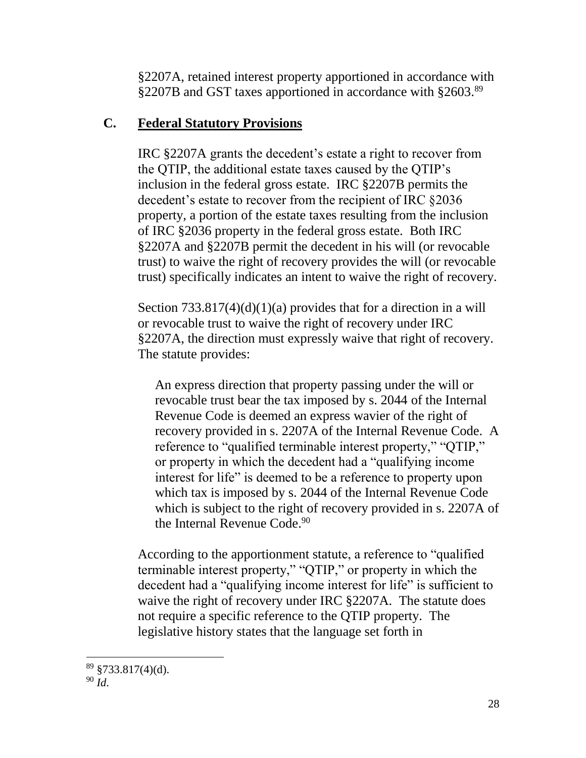§2207A, retained interest property apportioned in accordance with §2207B and GST taxes apportioned in accordance with §2603.<sup>89</sup>

### **C. Federal Statutory Provisions**

IRC §2207A grants the decedent's estate a right to recover from the QTIP, the additional estate taxes caused by the QTIP's inclusion in the federal gross estate. IRC §2207B permits the decedent's estate to recover from the recipient of IRC §2036 property, a portion of the estate taxes resulting from the inclusion of IRC §2036 property in the federal gross estate. Both IRC §2207A and §2207B permit the decedent in his will (or revocable trust) to waive the right of recovery provides the will (or revocable trust) specifically indicates an intent to waive the right of recovery.

Section  $733.817(4)(d)(1)(a)$  provides that for a direction in a will or revocable trust to waive the right of recovery under IRC §2207A, the direction must expressly waive that right of recovery. The statute provides:

An express direction that property passing under the will or revocable trust bear the tax imposed by s. 2044 of the Internal Revenue Code is deemed an express wavier of the right of recovery provided in s. 2207A of the Internal Revenue Code. A reference to "qualified terminable interest property," "QTIP," or property in which the decedent had a "qualifying income interest for life" is deemed to be a reference to property upon which tax is imposed by s. 2044 of the Internal Revenue Code which is subject to the right of recovery provided in s. 2207A of the Internal Revenue Code.<sup>90</sup>

According to the apportionment statute, a reference to "qualified terminable interest property," "QTIP," or property in which the decedent had a "qualifying income interest for life" is sufficient to waive the right of recovery under IRC §2207A. The statute does not require a specific reference to the QTIP property. The legislative history states that the language set forth in

 $89 \text{ } $733.817(4)(d).$ 

<sup>90</sup> *Id*.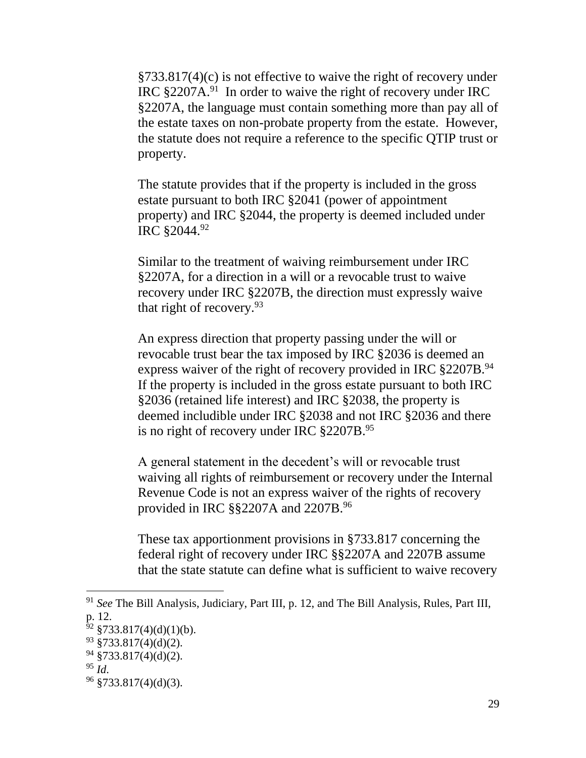§733.817(4)(c) is not effective to waive the right of recovery under IRC  $\S 2207A<sup>91</sup>$  In order to waive the right of recovery under IRC §2207A, the language must contain something more than pay all of the estate taxes on non-probate property from the estate. However, the statute does not require a reference to the specific QTIP trust or property.

The statute provides that if the property is included in the gross estate pursuant to both IRC §2041 (power of appointment property) and IRC §2044, the property is deemed included under IRC §2044.<sup>92</sup>

Similar to the treatment of waiving reimbursement under IRC §2207A, for a direction in a will or a revocable trust to waive recovery under IRC §2207B, the direction must expressly waive that right of recovery.<sup>93</sup>

An express direction that property passing under the will or revocable trust bear the tax imposed by IRC §2036 is deemed an express waiver of the right of recovery provided in IRC §2207B.<sup>94</sup> If the property is included in the gross estate pursuant to both IRC §2036 (retained life interest) and IRC §2038, the property is deemed includible under IRC §2038 and not IRC §2036 and there is no right of recovery under IRC §2207B.<sup>95</sup>

A general statement in the decedent's will or revocable trust waiving all rights of reimbursement or recovery under the Internal Revenue Code is not an express waiver of the rights of recovery provided in IRC §§2207A and 2207B.<sup>96</sup>

These tax apportionment provisions in §733.817 concerning the federal right of recovery under IRC §§2207A and 2207B assume that the state statute can define what is sufficient to waive recovery

<sup>91</sup> *See* The Bill Analysis, Judiciary, Part III, p. 12, and The Bill Analysis, Rules, Part III, p. 12.

 $92 \frac{\$733.817(4)(d)(1)(b)}{2}$ .

 $93 \frac{$733.817(4)(d)(2)}{2}$ .

 $94 \text{ } $733.817(4)(d)(2).$ 

<sup>95</sup> *Id*.

 $96 \frac{\$733.817(4)(d)(3)}{6}$ .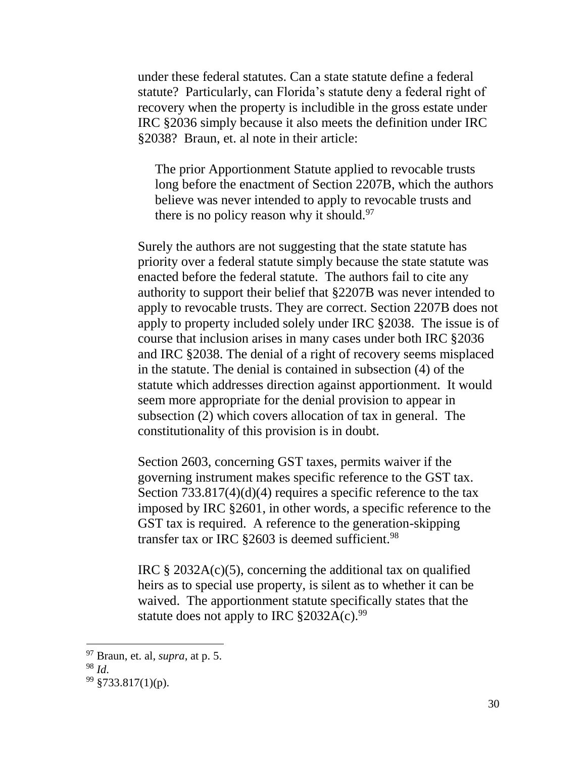under these federal statutes. Can a state statute define a federal statute? Particularly, can Florida's statute deny a federal right of recovery when the property is includible in the gross estate under IRC §2036 simply because it also meets the definition under IRC §2038? Braun, et. al note in their article:

The prior Apportionment Statute applied to revocable trusts long before the enactment of Section 2207B, which the authors believe was never intended to apply to revocable trusts and there is no policy reason why it should.<sup>97</sup>

Surely the authors are not suggesting that the state statute has priority over a federal statute simply because the state statute was enacted before the federal statute. The authors fail to cite any authority to support their belief that §2207B was never intended to apply to revocable trusts. They are correct. Section 2207B does not apply to property included solely under IRC §2038. The issue is of course that inclusion arises in many cases under both IRC §2036 and IRC §2038. The denial of a right of recovery seems misplaced in the statute. The denial is contained in subsection (4) of the statute which addresses direction against apportionment. It would seem more appropriate for the denial provision to appear in subsection (2) which covers allocation of tax in general. The constitutionality of this provision is in doubt.

Section 2603, concerning GST taxes, permits waiver if the governing instrument makes specific reference to the GST tax. Section 733.817(4)(d)(4) requires a specific reference to the tax imposed by IRC §2601, in other words, a specific reference to the GST tax is required. A reference to the generation-skipping transfer tax or IRC  $\S 2603$  is deemed sufficient.<sup>98</sup>

IRC  $\S$  2032A(c)(5), concerning the additional tax on qualified heirs as to special use property, is silent as to whether it can be waived. The apportionment statute specifically states that the statute does not apply to IRC  $$2032A(c).^{99}$ 

<sup>97</sup> Braun, et. al, *supra*, at p. 5.

<sup>98</sup> *Id*.

 $99 \frac{\text{S}}{33.817(1)}$ (p).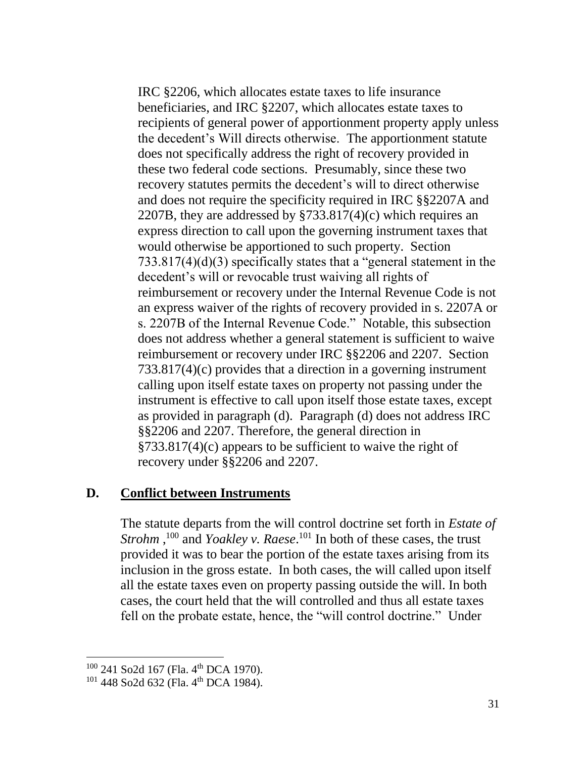IRC §2206, which allocates estate taxes to life insurance beneficiaries, and IRC §2207, which allocates estate taxes to recipients of general power of apportionment property apply unless the decedent's Will directs otherwise. The apportionment statute does not specifically address the right of recovery provided in these two federal code sections. Presumably, since these two recovery statutes permits the decedent's will to direct otherwise and does not require the specificity required in IRC §§2207A and 2207B, they are addressed by §733.817(4)(c) which requires an express direction to call upon the governing instrument taxes that would otherwise be apportioned to such property. Section 733.817(4)(d)(3) specifically states that a "general statement in the decedent's will or revocable trust waiving all rights of reimbursement or recovery under the Internal Revenue Code is not an express waiver of the rights of recovery provided in s. 2207A or s. 2207B of the Internal Revenue Code." Notable, this subsection does not address whether a general statement is sufficient to waive reimbursement or recovery under IRC §§2206 and 2207. Section 733.817(4)(c) provides that a direction in a governing instrument calling upon itself estate taxes on property not passing under the instrument is effective to call upon itself those estate taxes, except as provided in paragraph (d). Paragraph (d) does not address IRC §§2206 and 2207. Therefore, the general direction in §733.817(4)(c) appears to be sufficient to waive the right of recovery under §§2206 and 2207.

#### **D. Conflict between Instruments**

The statute departs from the will control doctrine set forth in *Estate of Strohm*,<sup>100</sup> and *Yoakley v. Raese*.<sup>101</sup> In both of these cases, the trust provided it was to bear the portion of the estate taxes arising from its inclusion in the gross estate. In both cases, the will called upon itself all the estate taxes even on property passing outside the will. In both cases, the court held that the will controlled and thus all estate taxes fell on the probate estate, hence, the "will control doctrine." Under

<sup>&</sup>lt;sup>100</sup> 241 So2d 167 (Fla. 4<sup>th</sup> DCA 1970).

<sup>&</sup>lt;sup>101</sup> 448 So2d 632 (Fla. 4<sup>th</sup> DCA 1984).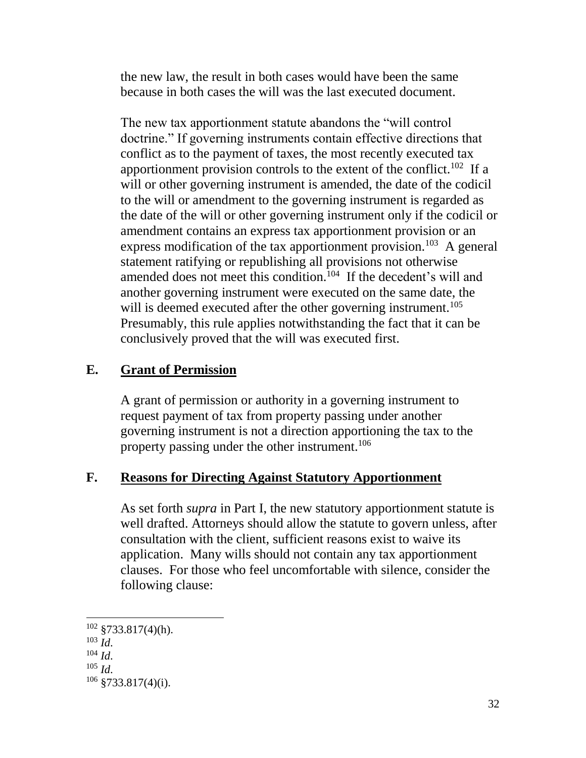the new law, the result in both cases would have been the same because in both cases the will was the last executed document.

The new tax apportionment statute abandons the "will control doctrine." If governing instruments contain effective directions that conflict as to the payment of taxes, the most recently executed tax apportionment provision controls to the extent of the conflict.<sup>102</sup> If a will or other governing instrument is amended, the date of the codicil to the will or amendment to the governing instrument is regarded as the date of the will or other governing instrument only if the codicil or amendment contains an express tax apportionment provision or an express modification of the tax apportionment provision.<sup>103</sup> A general statement ratifying or republishing all provisions not otherwise amended does not meet this condition.<sup>104</sup> If the decedent's will and another governing instrument were executed on the same date, the will is deemed executed after the other governing instrument.<sup>105</sup> Presumably, this rule applies notwithstanding the fact that it can be conclusively proved that the will was executed first.

### **E. Grant of Permission**

A grant of permission or authority in a governing instrument to request payment of tax from property passing under another governing instrument is not a direction apportioning the tax to the property passing under the other instrument.<sup>106</sup>

### **F. Reasons for Directing Against Statutory Apportionment**

As set forth *supra* in Part I, the new statutory apportionment statute is well drafted. Attorneys should allow the statute to govern unless, after consultation with the client, sufficient reasons exist to waive its application. Many wills should not contain any tax apportionment clauses. For those who feel uncomfortable with silence, consider the following clause:

 $\overline{a}$  $102 \text{ } \frac{\$733.817(4)(h)}{}$ . <sup>103</sup> *Id*. <sup>104</sup> *Id*. <sup>105</sup> *Id*.  $106 \frac{\text{ }8733.817(4)(i)}{i}$ .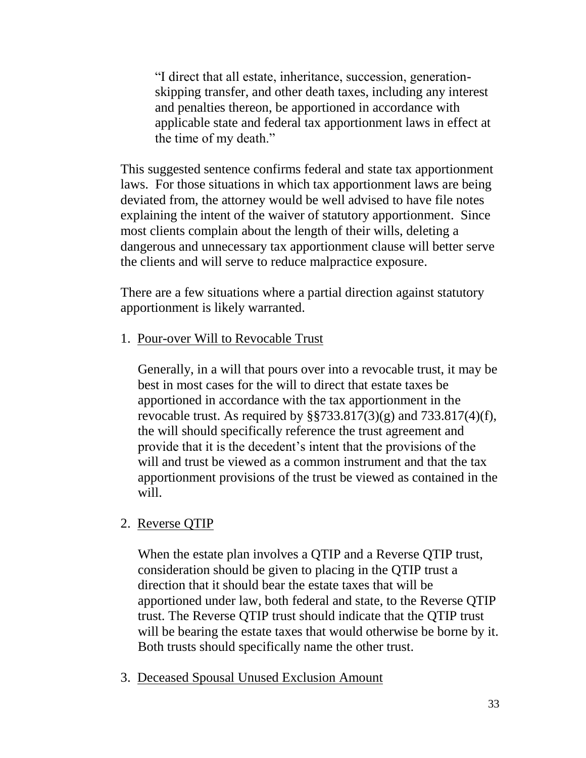"I direct that all estate, inheritance, succession, generationskipping transfer, and other death taxes, including any interest and penalties thereon, be apportioned in accordance with applicable state and federal tax apportionment laws in effect at the time of my death."

This suggested sentence confirms federal and state tax apportionment laws. For those situations in which tax apportionment laws are being deviated from, the attorney would be well advised to have file notes explaining the intent of the waiver of statutory apportionment. Since most clients complain about the length of their wills, deleting a dangerous and unnecessary tax apportionment clause will better serve the clients and will serve to reduce malpractice exposure.

There are a few situations where a partial direction against statutory apportionment is likely warranted.

1. Pour-over Will to Revocable Trust

Generally, in a will that pours over into a revocable trust, it may be best in most cases for the will to direct that estate taxes be apportioned in accordance with the tax apportionment in the revocable trust. As required by  $\S$  $733.817(3)(g)$  and  $733.817(4)(f)$ , the will should specifically reference the trust agreement and provide that it is the decedent's intent that the provisions of the will and trust be viewed as a common instrument and that the tax apportionment provisions of the trust be viewed as contained in the will.

### 2. Reverse QTIP

When the estate plan involves a QTIP and a Reverse QTIP trust, consideration should be given to placing in the QTIP trust a direction that it should bear the estate taxes that will be apportioned under law, both federal and state, to the Reverse QTIP trust. The Reverse QTIP trust should indicate that the QTIP trust will be bearing the estate taxes that would otherwise be borne by it. Both trusts should specifically name the other trust.

3. Deceased Spousal Unused Exclusion Amount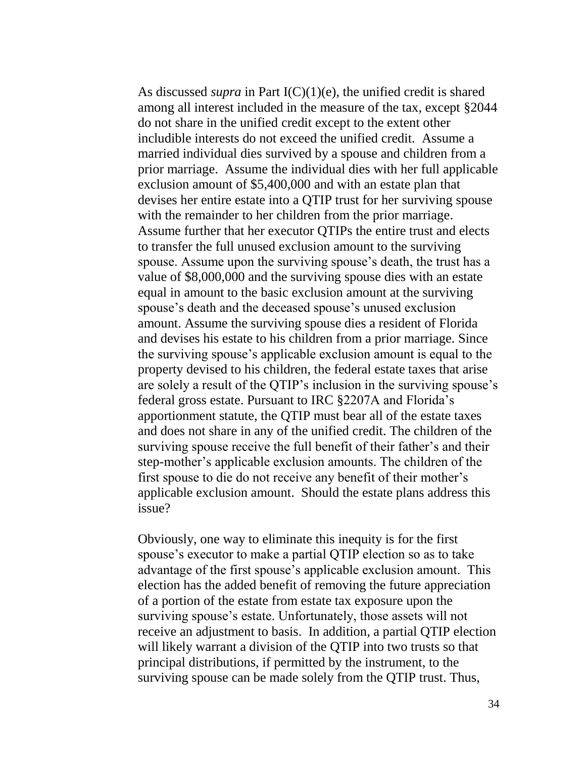As discussed *supra* in Part I(C)(1)(e), the unified credit is shared among all interest included in the measure of the tax, except §2044 do not share in the unified credit except to the extent other includible interests do not exceed the unified credit. Assume a married individual dies survived by a spouse and children from a prior marriage. Assume the individual dies with her full applicable exclusion amount of \$5,400,000 and with an estate plan that devises her entire estate into a QTIP trust for her surviving spouse with the remainder to her children from the prior marriage. Assume further that her executor QTIPs the entire trust and elects to transfer the full unused exclusion amount to the surviving spouse. Assume upon the surviving spouse's death, the trust has a value of \$8,000,000 and the surviving spouse dies with an estate equal in amount to the basic exclusion amount at the surviving spouse's death and the deceased spouse's unused exclusion amount. Assume the surviving spouse dies a resident of Florida and devises his estate to his children from a prior marriage. Since the surviving spouse's applicable exclusion amount is equal to the property devised to his children, the federal estate taxes that arise are solely a result of the QTIP's inclusion in the surviving spouse's federal gross estate. Pursuant to IRC §2207A and Florida's apportionment statute, the QTIP must bear all of the estate taxes and does not share in any of the unified credit. The children of the surviving spouse receive the full benefit of their father's and their step-mother's applicable exclusion amounts. The children of the first spouse to die do not receive any benefit of their mother's applicable exclusion amount. Should the estate plans address this issue?

Obviously, one way to eliminate this inequity is for the first spouse's executor to make a partial QTIP election so as to take advantage of the first spouse's applicable exclusion amount. This election has the added benefit of removing the future appreciation of a portion of the estate from estate tax exposure upon the surviving spouse's estate. Unfortunately, those assets will not receive an adjustment to basis. In addition, a partial QTIP election will likely warrant a division of the QTIP into two trusts so that principal distributions, if permitted by the instrument, to the surviving spouse can be made solely from the QTIP trust. Thus,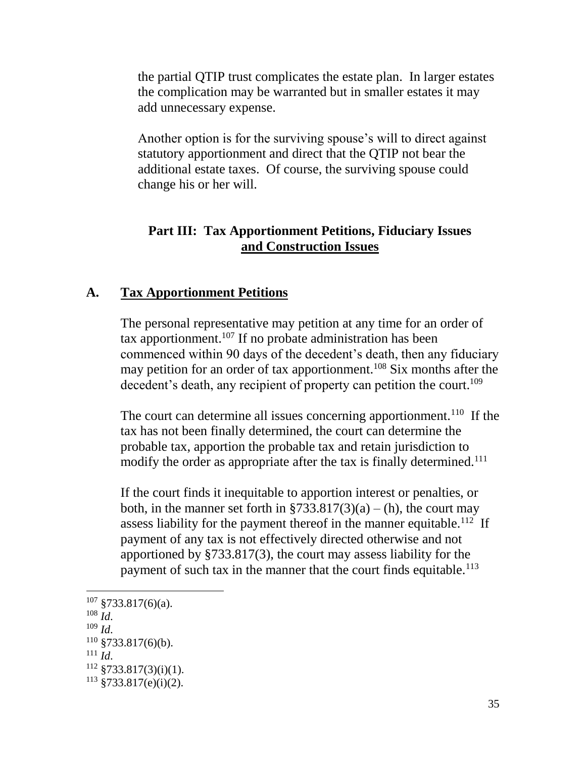the partial QTIP trust complicates the estate plan. In larger estates the complication may be warranted but in smaller estates it may add unnecessary expense.

Another option is for the surviving spouse's will to direct against statutory apportionment and direct that the QTIP not bear the additional estate taxes. Of course, the surviving spouse could change his or her will.

### **Part III: Tax Apportionment Petitions, Fiduciary Issues and Construction Issues**

### **A. Tax Apportionment Petitions**

The personal representative may petition at any time for an order of tax apportionment.<sup>107</sup> If no probate administration has been commenced within 90 days of the decedent's death, then any fiduciary may petition for an order of tax apportionment.<sup>108</sup> Six months after the decedent's death, any recipient of property can petition the court.<sup>109</sup>

The court can determine all issues concerning apportionment.<sup>110</sup> If the tax has not been finally determined, the court can determine the probable tax, apportion the probable tax and retain jurisdiction to modify the order as appropriate after the tax is finally determined.<sup>111</sup>

If the court finds it inequitable to apportion interest or penalties, or both, in the manner set forth in  $$733.817(3)(a) - (h)$ , the court may assess liability for the payment thereof in the manner equitable.<sup>112</sup> If payment of any tax is not effectively directed otherwise and not apportioned by §733.817(3), the court may assess liability for the payment of such tax in the manner that the court finds equitable.<sup>113</sup>

- $108 \frac{1}{1}$
- <sup>109</sup> *Id*.

 $\overline{a}$ 

<sup>111</sup> *Id*.

 $107 \frac{$733.817(6)(a)}{6}.$ 

 $110 \frac{\text{g}}{\text{g}}$ 733.817(6)(b).

 $112 \frac{112}{3733.817(3)(i)(1)}$ .

 $113 \text{ } $733.817(e)(i)(2)$ .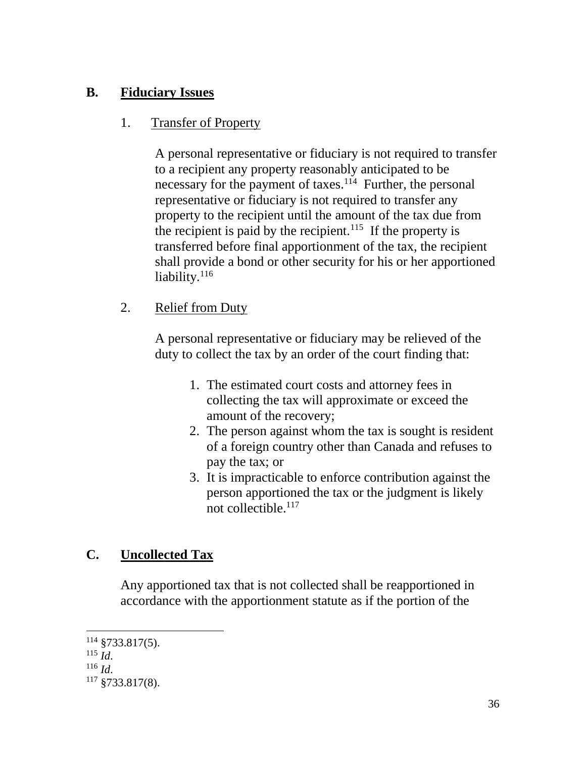# **B. Fiduciary Issues**

# 1. Transfer of Property

A personal representative or fiduciary is not required to transfer to a recipient any property reasonably anticipated to be necessary for the payment of taxes.<sup>114</sup> Further, the personal representative or fiduciary is not required to transfer any property to the recipient until the amount of the tax due from the recipient is paid by the recipient.<sup>115</sup> If the property is transferred before final apportionment of the tax, the recipient shall provide a bond or other security for his or her apportioned liability.<sup>116</sup>

2. Relief from Duty

A personal representative or fiduciary may be relieved of the duty to collect the tax by an order of the court finding that:

- 1. The estimated court costs and attorney fees in collecting the tax will approximate or exceed the amount of the recovery;
- 2. The person against whom the tax is sought is resident of a foreign country other than Canada and refuses to pay the tax; or
- 3. It is impracticable to enforce contribution against the person apportioned the tax or the judgment is likely not collectible.<sup>117</sup>

# **C. Uncollected Tax**

Any apportioned tax that is not collected shall be reapportioned in accordance with the apportionment statute as if the portion of the

 $\overline{a}$  $114$  §733.817(5).

 $^{115}$   $\check{I}$ .

<sup>116</sup> *Id*.

 $117$  §733.817(8).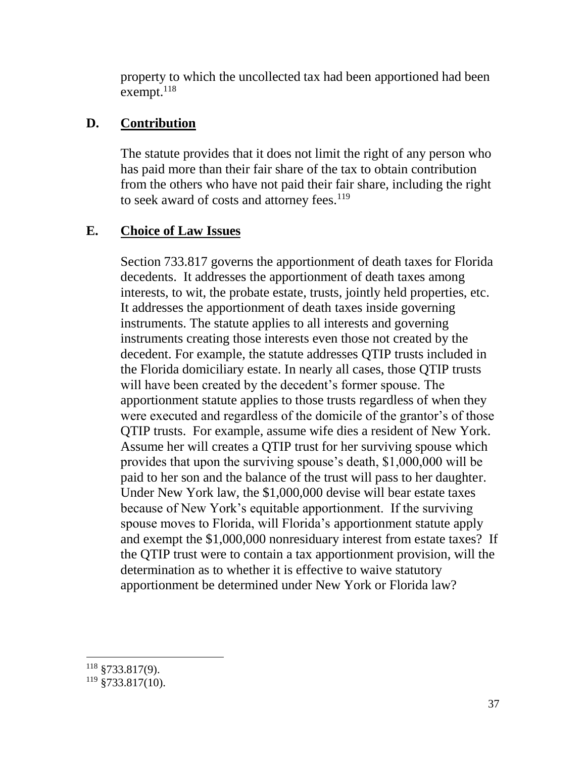property to which the uncollected tax had been apportioned had been exempt.<sup>118</sup>

### **D. Contribution**

The statute provides that it does not limit the right of any person who has paid more than their fair share of the tax to obtain contribution from the others who have not paid their fair share, including the right to seek award of costs and attorney fees.<sup>119</sup>

# **E. Choice of Law Issues**

Section 733.817 governs the apportionment of death taxes for Florida decedents. It addresses the apportionment of death taxes among interests, to wit, the probate estate, trusts, jointly held properties, etc. It addresses the apportionment of death taxes inside governing instruments. The statute applies to all interests and governing instruments creating those interests even those not created by the decedent. For example, the statute addresses QTIP trusts included in the Florida domiciliary estate. In nearly all cases, those QTIP trusts will have been created by the decedent's former spouse. The apportionment statute applies to those trusts regardless of when they were executed and regardless of the domicile of the grantor's of those QTIP trusts. For example, assume wife dies a resident of New York. Assume her will creates a QTIP trust for her surviving spouse which provides that upon the surviving spouse's death, \$1,000,000 will be paid to her son and the balance of the trust will pass to her daughter. Under New York law, the \$1,000,000 devise will bear estate taxes because of New York's equitable apportionment. If the surviving spouse moves to Florida, will Florida's apportionment statute apply and exempt the \$1,000,000 nonresiduary interest from estate taxes? If the QTIP trust were to contain a tax apportionment provision, will the determination as to whether it is effective to waive statutory apportionment be determined under New York or Florida law?

 $\overline{a}$  $118 \text{ }$ \$733.817(9).

 $119$  §733.817(10).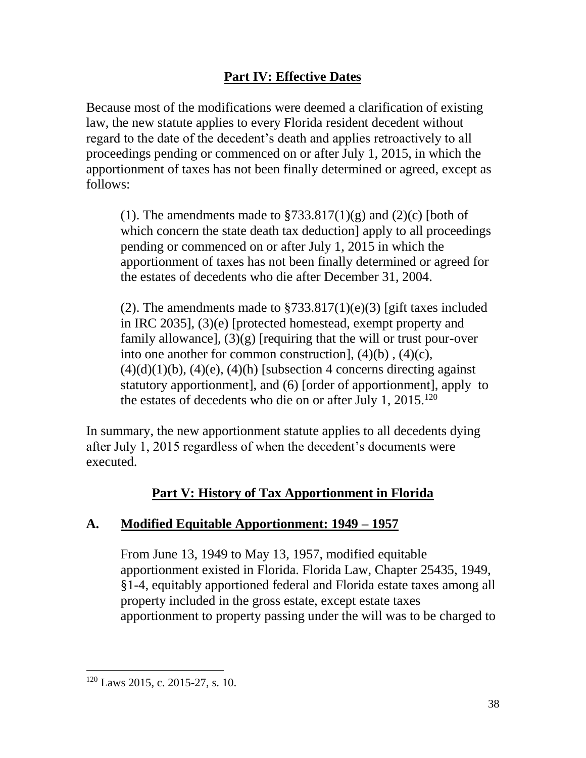# **Part IV: Effective Dates**

Because most of the modifications were deemed a clarification of existing law, the new statute applies to every Florida resident decedent without regard to the date of the decedent's death and applies retroactively to all proceedings pending or commenced on or after July 1, 2015, in which the apportionment of taxes has not been finally determined or agreed, except as follows:

(1). The amendments made to  $\frac{$733.817(1)(g)}{9}$  and (2)(c) [both of which concern the state death tax deduction apply to all proceedings pending or commenced on or after July 1, 2015 in which the apportionment of taxes has not been finally determined or agreed for the estates of decedents who die after December 31, 2004.

(2). The amendments made to  $$733.817(1)(e)(3)$  [gift taxes included in IRC 2035], (3)(e) [protected homestead, exempt property and family allowance],  $(3)(g)$  [requiring that the will or trust pour-over into one another for common construction], (4)(b) , (4)(c),  $(4)(d)(1)(b)$ ,  $(4)(e)$ ,  $(4)(h)$  [subsection 4 concerns directing against statutory apportionment], and (6) [order of apportionment], apply to the estates of decedents who die on or after July 1, 2015.<sup>120</sup>

In summary, the new apportionment statute applies to all decedents dying after July 1, 2015 regardless of when the decedent's documents were executed.

# **Part V: History of Tax Apportionment in Florida**

# **A. Modified Equitable Apportionment: 1949 – 1957**

From June 13, 1949 to May 13, 1957, modified equitable apportionment existed in Florida. Florida Law, Chapter 25435, 1949, §1-4, equitably apportioned federal and Florida estate taxes among all property included in the gross estate, except estate taxes apportionment to property passing under the will was to be charged to

<sup>120</sup> Laws 2015, c. 2015-27, s. 10.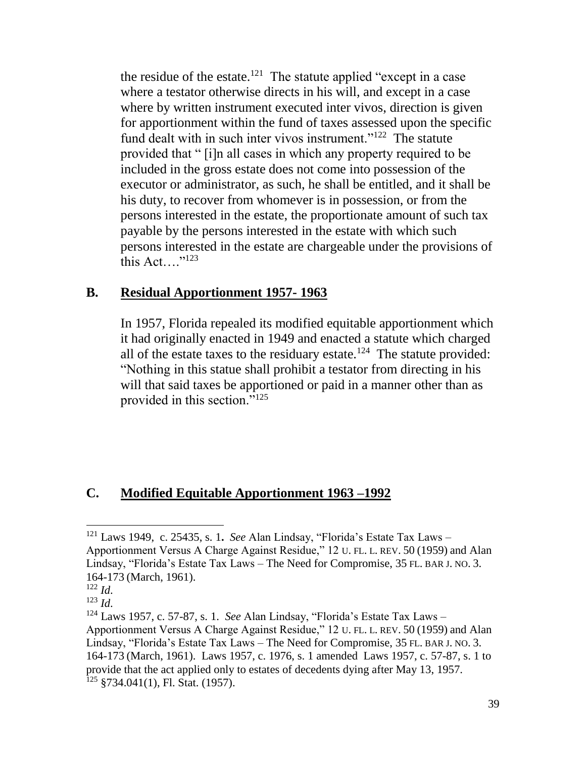the residue of the estate.<sup>121</sup> The statute applied "except in a case" where a testator otherwise directs in his will, and except in a case where by written instrument executed inter vivos, direction is given for apportionment within the fund of taxes assessed upon the specific fund dealt with in such inter vivos instrument."<sup>122</sup> The statute provided that " [i]n all cases in which any property required to be included in the gross estate does not come into possession of the executor or administrator, as such, he shall be entitled, and it shall be his duty, to recover from whomever is in possession, or from the persons interested in the estate, the proportionate amount of such tax payable by the persons interested in the estate with which such persons interested in the estate are chargeable under the provisions of this Act.... $"123"$ 

#### **B. Residual Apportionment 1957- 1963**

In 1957, Florida repealed its modified equitable apportionment which it had originally enacted in 1949 and enacted a statute which charged all of the estate taxes to the residuary estate.<sup>124</sup> The statute provided: "Nothing in this statue shall prohibit a testator from directing in his will that said taxes be apportioned or paid in a manner other than as provided in this section."<sup>125</sup>

### **C. Modified Equitable Apportionment 1963 –1992**

<sup>121</sup> Laws 1949, c. 25435, s. 1**.** *See* Alan Lindsay, "Florida's Estate Tax Laws – Apportionment Versus A Charge Against Residue," 12 U. FL. L. REV. 50 (1959) and Alan Lindsay, "Florida's Estate Tax Laws – The Need for Compromise, 35 FL. BAR J. NO. 3. 164-173 (March, 1961).

<sup>122</sup> *Id*.

<sup>123</sup> *Id*.

<sup>124</sup> Laws 1957, c. 57-87, s. 1. *See* Alan Lindsay, "Florida's Estate Tax Laws – Apportionment Versus A Charge Against Residue," 12 U. FL. L. REV. 50 (1959) and Alan Lindsay, "Florida's Estate Tax Laws – The Need for Compromise, 35 FL. BAR J. NO. 3. 164-173 (March, 1961). Laws 1957, c. 1976, s. 1 amended Laws 1957, c. 57-87, s. 1 to provide that the act applied only to estates of decedents dying after May 13, 1957. <sup>125</sup> §734.041(1), Fl. Stat. (1957).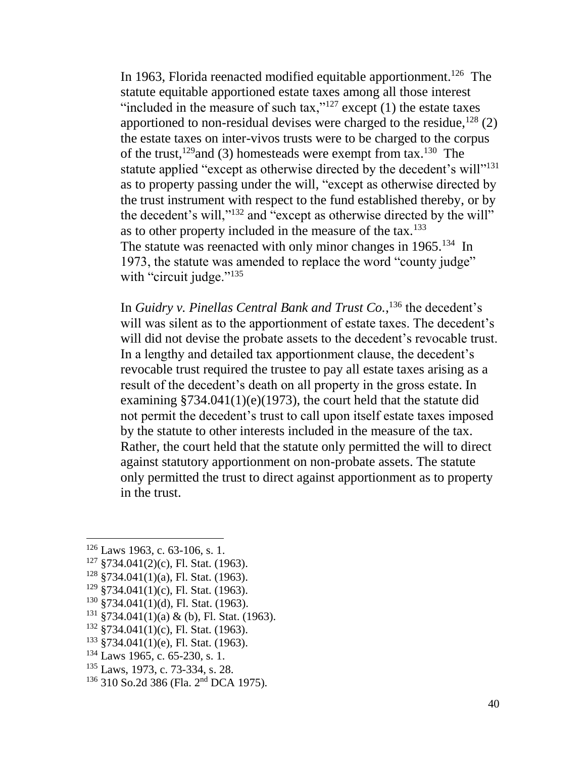In 1963, Florida reenacted modified equitable apportionment.<sup>126</sup> The statute equitable apportioned estate taxes among all those interest "included in the measure of such tax," $127$  except (1) the estate taxes apportioned to non-residual devises were charged to the residue,  $^{128}$  (2) the estate taxes on inter-vivos trusts were to be charged to the corpus of the trust,<sup>129</sup> and (3) homesteads were exempt from tax.<sup>130</sup> The statute applied "except as otherwise directed by the decedent's will"<sup>131</sup> as to property passing under the will, "except as otherwise directed by the trust instrument with respect to the fund established thereby, or by the decedent's will,"<sup>132</sup> and "except as otherwise directed by the will" as to other property included in the measure of the tax.<sup>133</sup> The statute was reenacted with only minor changes in 1965.<sup>134</sup> In 1973, the statute was amended to replace the word "county judge" with "circuit judge."<sup>135</sup>

In *Guidry v. Pinellas Central Bank and Trust Co.*, <sup>136</sup> the decedent's will was silent as to the apportionment of estate taxes. The decedent's will did not devise the probate assets to the decedent's revocable trust. In a lengthy and detailed tax apportionment clause, the decedent's revocable trust required the trustee to pay all estate taxes arising as a result of the decedent's death on all property in the gross estate. In examining §734.041(1)(e)(1973), the court held that the statute did not permit the decedent's trust to call upon itself estate taxes imposed by the statute to other interests included in the measure of the tax. Rather, the court held that the statute only permitted the will to direct against statutory apportionment on non-probate assets. The statute only permitted the trust to direct against apportionment as to property in the trust.

 $126$  Laws 1963, c. 63-106, s. 1.

 $127$  §734.041(2)(c), Fl. Stat. (1963).

 $128$  §734.041(1)(a), Fl. Stat. (1963).

 $129$  §734.041(1)(c), Fl. Stat. (1963).

<sup>130</sup> §734.041(1)(d), Fl. Stat. (1963).

 $131 \text{ } $734.041(1)(a) \& (b)$ , Fl. Stat. (1963).

 $132$  §734.041(1)(c), Fl. Stat. (1963).

 $133$  §734.041(1)(e), Fl. Stat. (1963).

<sup>134</sup> Laws 1965, c. 65-230, s. 1.

<sup>135</sup> Laws, 1973, c. 73-334, s. 28.

<sup>136</sup> 310 So.2d 386 (Fla. 2nd DCA 1975).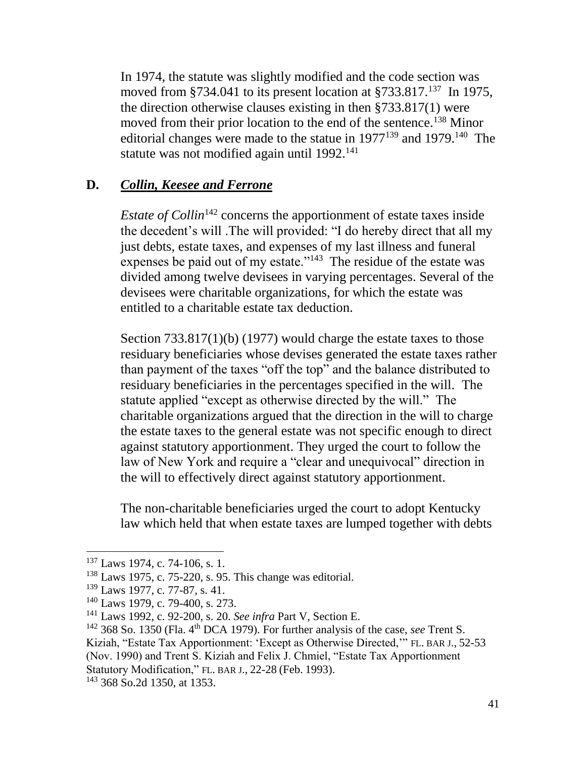In 1974, the statute was slightly modified and the code section was moved from §734.041 to its present location at §733.817.<sup>137</sup> In 1975, the direction otherwise clauses existing in then §733.817(1) were moved from their prior location to the end of the sentence.<sup>138</sup> Minor editorial changes were made to the statue in  $1977^{139}$  and  $1979$ .<sup>140</sup> The statute was not modified again until  $1992$ <sup>141</sup>

### **D.** *Collin, Keesee and Ferrone*

*Estate of Collin*<sup>142</sup> concerns the apportionment of estate taxes inside the decedent's will .The will provided: "I do hereby direct that all my just debts, estate taxes, and expenses of my last illness and funeral expenses be paid out of my estate. $143$  The residue of the estate was divided among twelve devisees in varying percentages. Several of the devisees were charitable organizations, for which the estate was entitled to a charitable estate tax deduction.

Section 733.817(1)(b) (1977) would charge the estate taxes to those residuary beneficiaries whose devises generated the estate taxes rather than payment of the taxes "off the top" and the balance distributed to residuary beneficiaries in the percentages specified in the will. The statute applied "except as otherwise directed by the will." The charitable organizations argued that the direction in the will to charge the estate taxes to the general estate was not specific enough to direct against statutory apportionment. They urged the court to follow the law of New York and require a "clear and unequivocal" direction in the will to effectively direct against statutory apportionment.

The non-charitable beneficiaries urged the court to adopt Kentucky law which held that when estate taxes are lumped together with debts

 $\overline{a}$ 

(Nov. 1990) and Trent S. Kiziah and Felix J. Chmiel, "Estate Tax Apportionment Statutory Modification," FL. BAR J., 22-28 (Feb. 1993).

<sup>&</sup>lt;sup>137</sup> Laws 1974, c. 74-106, s. 1.

<sup>138</sup> Laws 1975, c. 75-220, s. 95. This change was editorial.

<sup>139</sup> Laws 1977, c. 77-87, s. 41.

<sup>140</sup> Laws 1979, c. 79-400, s. 273.

<sup>141</sup> Laws 1992, c. 92-200, s. 20. *See infra* Part V, Section E.

<sup>&</sup>lt;sup>142</sup> 368 So. 1350 (Fla. 4<sup>th</sup> DCA 1979). For further analysis of the case, *see* Trent S.

Kiziah, "Estate Tax Apportionment: 'Except as Otherwise Directed,'" FL. BAR J., 52-53

<sup>143</sup> 368 So.2d 1350, at 1353.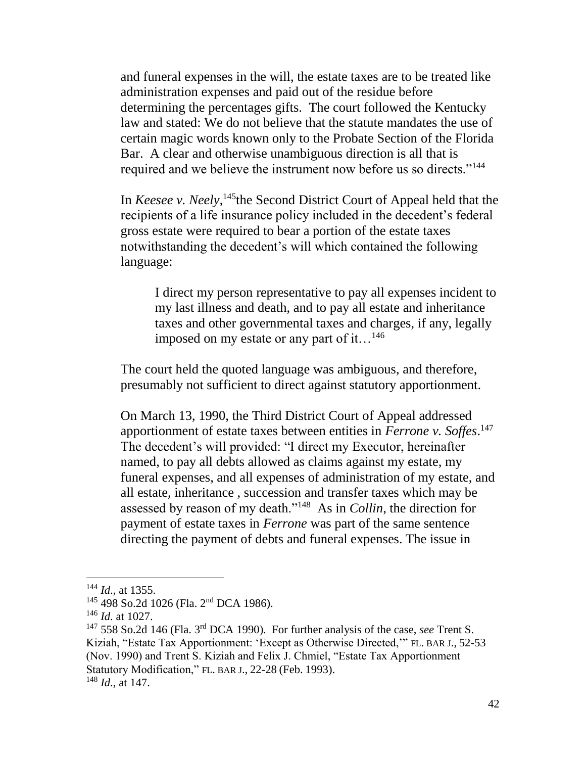and funeral expenses in the will, the estate taxes are to be treated like administration expenses and paid out of the residue before determining the percentages gifts. The court followed the Kentucky law and stated: We do not believe that the statute mandates the use of certain magic words known only to the Probate Section of the Florida Bar. A clear and otherwise unambiguous direction is all that is required and we believe the instrument now before us so directs."<sup>144</sup>

In *Keesee v. Neely*,<sup>145</sup>the Second District Court of Appeal held that the recipients of a life insurance policy included in the decedent's federal gross estate were required to bear a portion of the estate taxes notwithstanding the decedent's will which contained the following language:

I direct my person representative to pay all expenses incident to my last illness and death, and to pay all estate and inheritance taxes and other governmental taxes and charges, if any, legally imposed on my estate or any part of it…<sup>146</sup>

The court held the quoted language was ambiguous, and therefore, presumably not sufficient to direct against statutory apportionment.

On March 13, 1990, the Third District Court of Appeal addressed apportionment of estate taxes between entities in *Ferrone v. Soffes*. 147 The decedent's will provided: "I direct my Executor, hereinafter named, to pay all debts allowed as claims against my estate, my funeral expenses, and all expenses of administration of my estate, and all estate, inheritance , succession and transfer taxes which may be assessed by reason of my death."<sup>148</sup> As in *Collin*, the direction for payment of estate taxes in *Ferrone* was part of the same sentence directing the payment of debts and funeral expenses. The issue in

<sup>144</sup> *Id*., at 1355.

<sup>&</sup>lt;sup>145</sup> 498 So.2d 1026 (Fla. 2<sup>nd</sup> DCA 1986).

<sup>146</sup> *Id*. at 1027.

<sup>147</sup> 558 So.2d 146 (Fla. 3rd DCA 1990). For further analysis of the case, *see* Trent S. Kiziah, "Estate Tax Apportionment: 'Except as Otherwise Directed,'" FL. BAR J., 52-53 (Nov. 1990) and Trent S. Kiziah and Felix J. Chmiel, "Estate Tax Apportionment Statutory Modification," FL. BAR J., 22-28 (Feb. 1993). <sup>148</sup> *Id*., at 147.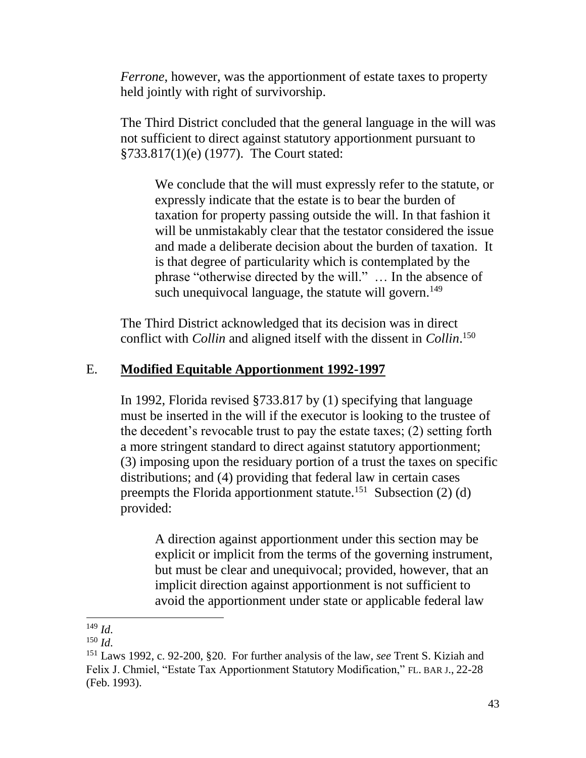*Ferrone*, however, was the apportionment of estate taxes to property held jointly with right of survivorship.

The Third District concluded that the general language in the will was not sufficient to direct against statutory apportionment pursuant to §733.817(1)(e) (1977). The Court stated:

We conclude that the will must expressly refer to the statute, or expressly indicate that the estate is to bear the burden of taxation for property passing outside the will. In that fashion it will be unmistakably clear that the testator considered the issue and made a deliberate decision about the burden of taxation. It is that degree of particularity which is contemplated by the phrase "otherwise directed by the will." … In the absence of such unequivocal language, the statute will govern.<sup>149</sup>

The Third District acknowledged that its decision was in direct conflict with *Collin* and aligned itself with the dissent in *Collin*. 150

### E. **Modified Equitable Apportionment 1992-1997**

In 1992, Florida revised §733.817 by (1) specifying that language must be inserted in the will if the executor is looking to the trustee of the decedent's revocable trust to pay the estate taxes; (2) setting forth a more stringent standard to direct against statutory apportionment; (3) imposing upon the residuary portion of a trust the taxes on specific distributions; and (4) providing that federal law in certain cases preempts the Florida apportionment statute.<sup>151</sup> Subsection  $(2)$  (d) provided:

A direction against apportionment under this section may be explicit or implicit from the terms of the governing instrument, but must be clear and unequivocal; provided, however, that an implicit direction against apportionment is not sufficient to avoid the apportionment under state or applicable federal law

 $\overline{a}$ <sup>149</sup> *Id*.

<sup>150</sup> *Id*.

<sup>151</sup> Laws 1992, c. 92-200, §20. For further analysis of the law, *see* Trent S. Kiziah and Felix J. Chmiel, "Estate Tax Apportionment Statutory Modification," FL. BAR J., 22-28 (Feb. 1993).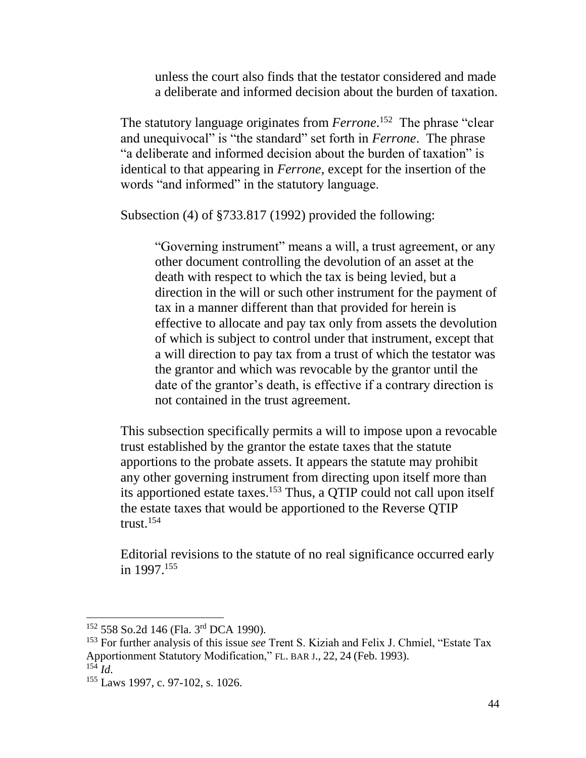unless the court also finds that the testator considered and made a deliberate and informed decision about the burden of taxation.

The statutory language originates from *Ferrone*. 152 The phrase "clear and unequivocal" is "the standard" set forth in *Ferrone*. The phrase "a deliberate and informed decision about the burden of taxation" is identical to that appearing in *Ferrone*, except for the insertion of the words "and informed" in the statutory language.

Subsection (4) of §733.817 (1992) provided the following:

"Governing instrument" means a will, a trust agreement, or any other document controlling the devolution of an asset at the death with respect to which the tax is being levied, but a direction in the will or such other instrument for the payment of tax in a manner different than that provided for herein is effective to allocate and pay tax only from assets the devolution of which is subject to control under that instrument, except that a will direction to pay tax from a trust of which the testator was the grantor and which was revocable by the grantor until the date of the grantor's death, is effective if a contrary direction is not contained in the trust agreement.

This subsection specifically permits a will to impose upon a revocable trust established by the grantor the estate taxes that the statute apportions to the probate assets. It appears the statute may prohibit any other governing instrument from directing upon itself more than its apportioned estate taxes.<sup>153</sup> Thus, a QTIP could not call upon itself the estate taxes that would be apportioned to the Reverse QTIP trust.<sup>154</sup>

Editorial revisions to the statute of no real significance occurred early in 1997.<sup>155</sup>

<sup>&</sup>lt;sup>152</sup> 558 So.2d 146 (Fla. 3<sup>rd</sup> DCA 1990).

<sup>153</sup> For further analysis of this issue *see* Trent S. Kiziah and Felix J. Chmiel, "Estate Tax Apportionment Statutory Modification," FL. BAR J., 22, 24 (Feb. 1993).  $^{15\bar{4}}$  *Id.* 

<sup>155</sup> Laws 1997, c. 97-102, s. 1026.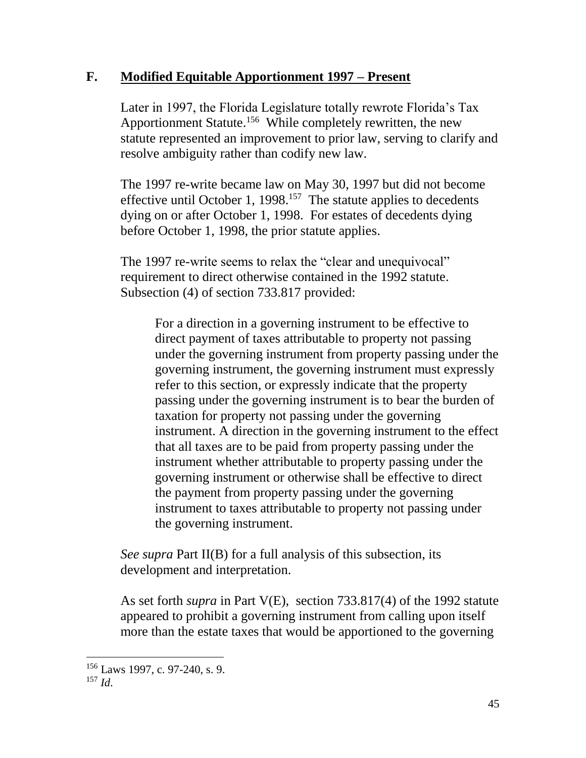### **F. Modified Equitable Apportionment 1997 – Present**

Later in 1997, the Florida Legislature totally rewrote Florida's Tax Apportionment Statute.<sup>156</sup> While completely rewritten, the new statute represented an improvement to prior law, serving to clarify and resolve ambiguity rather than codify new law.

The 1997 re-write became law on May 30, 1997 but did not become effective until October 1, 1998.<sup>157</sup> The statute applies to decedents dying on or after October 1, 1998. For estates of decedents dying before October 1, 1998, the prior statute applies.

The 1997 re-write seems to relax the "clear and unequivocal" requirement to direct otherwise contained in the 1992 statute. Subsection (4) of section 733.817 provided:

> For a direction in a governing instrument to be effective to direct payment of taxes attributable to property not passing under the governing instrument from property passing under the governing instrument, the governing instrument must expressly refer to this section, or expressly indicate that the property passing under the governing instrument is to bear the burden of taxation for property not passing under the governing instrument. A direction in the governing instrument to the effect that all taxes are to be paid from property passing under the instrument whether attributable to property passing under the governing instrument or otherwise shall be effective to direct the payment from property passing under the governing instrument to taxes attributable to property not passing under the governing instrument.

*See supra* Part II(B) for a full analysis of this subsection, its development and interpretation.

As set forth *supra* in Part V(E), section 733.817(4) of the 1992 statute appeared to prohibit a governing instrument from calling upon itself more than the estate taxes that would be apportioned to the governing

 $\overline{a}$ <sup>156</sup> Laws 1997, c. 97-240, s. 9. <sup>157</sup> *Id*.